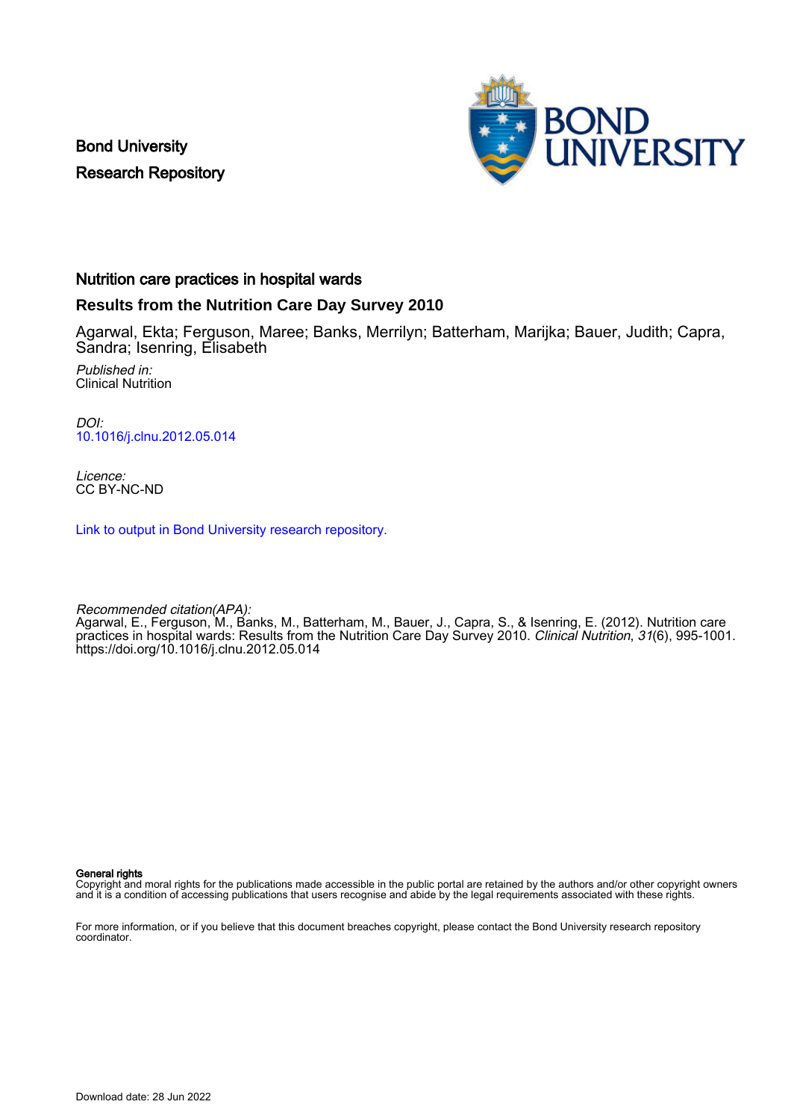Bond University Research Repository



#### Nutrition care practices in hospital wards

#### **Results from the Nutrition Care Day Survey 2010**

Agarwal, Ekta; Ferguson, Maree; Banks, Merrilyn; Batterham, Marijka; Bauer, Judith; Capra, Sandra; Isenring, Elisabeth

Published in: Clinical Nutrition

DOI: [10.1016/j.clnu.2012.05.014](https://doi.org/10.1016/j.clnu.2012.05.014)

Licence: CC BY-NC-ND

[Link to output in Bond University research repository.](https://research.bond.edu.au/en/publications/c5eedcc0-6c7d-4f0c-a517-e7f61747b793)

Recommended citation(APA):

Agarwal, E., Ferguson, M., Banks, M., Batterham, M., Bauer, J., Capra, S., & Isenring, E. (2012). Nutrition care practices in hospital wards: Results from the Nutrition Care Day Survey 2010. Clinical Nutrition, 31(6), 995-1001. <https://doi.org/10.1016/j.clnu.2012.05.014>

General rights

Copyright and moral rights for the publications made accessible in the public portal are retained by the authors and/or other copyright owners and it is a condition of accessing publications that users recognise and abide by the legal requirements associated with these rights.

For more information, or if you believe that this document breaches copyright, please contact the Bond University research repository coordinator.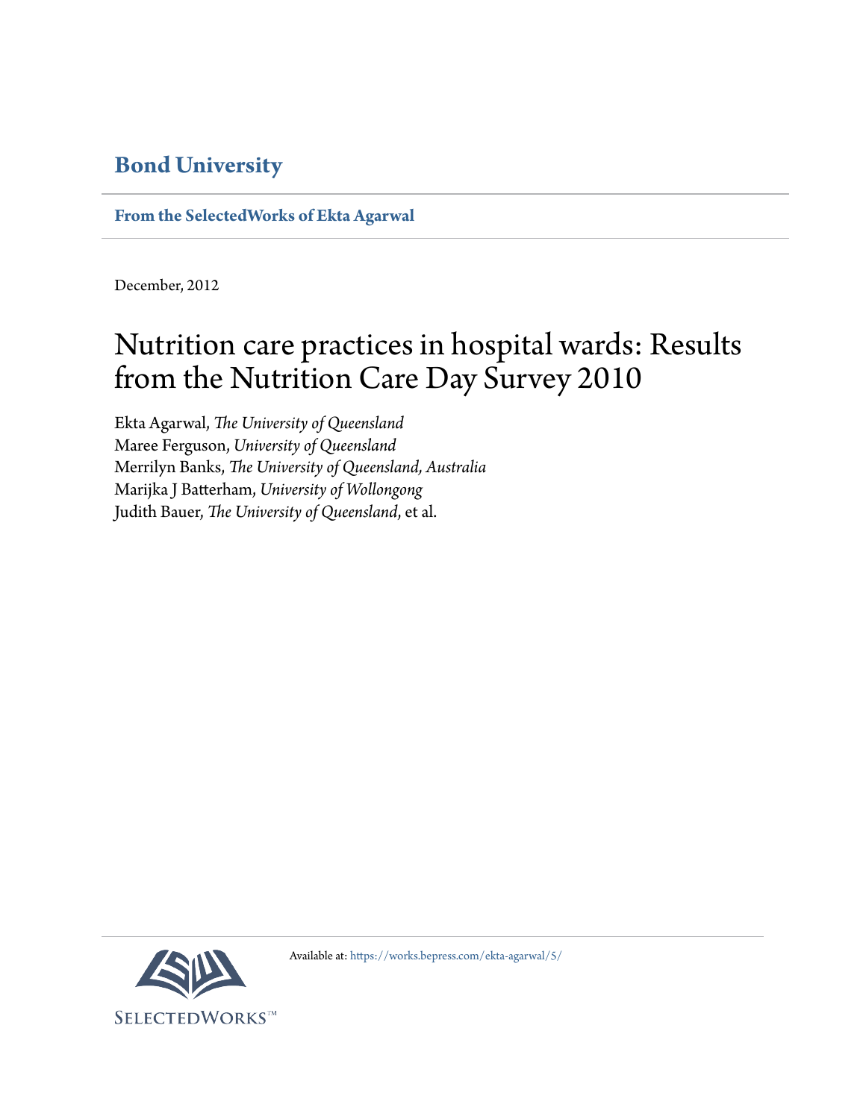## **[Bond University](http://bond.edu.au/)**

**[From the SelectedWorks of Ekta Agarwal](https://works.bepress.com/ekta-agarwal/)**

December, 2012

# Nutrition care practices in hospital wards: Results from the Nutrition Care Day Survey 2010

Ekta Agarwal, *The University of Queensland* Maree Ferguson, *University of Queensland* Merrilyn Banks, *The University of Queensland, Australia* Marijka J Batterham, *University of Wollongong* Judith Bauer, *The University of Queensland*, et al.



Available at: <https://works.bepress.com/ekta-agarwal/5/>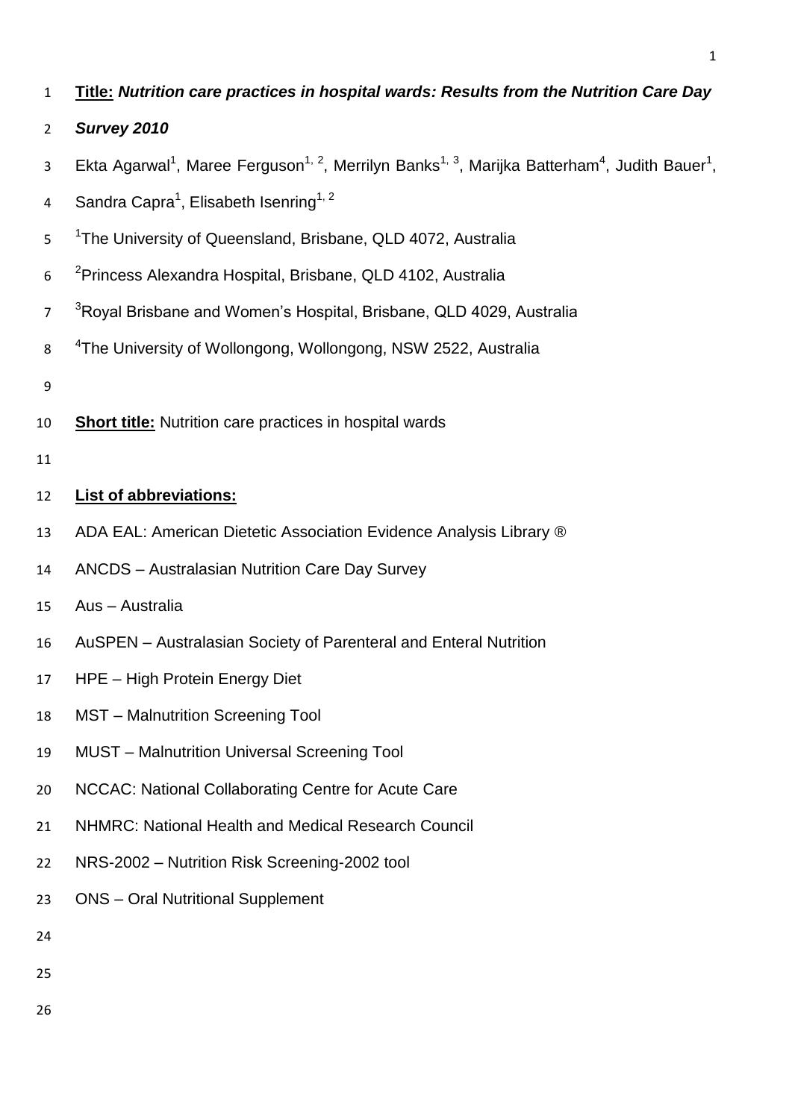- **Title:** *Nutrition care practices in hospital wards: Results from the Nutrition Care Day*
- *Survey 2010*
- 3 Ekta Agarwal<sup>1</sup>, Maree Ferguson<sup>1, 2</sup>, Merrilyn Banks<sup>1, 3</sup>, Marijka Batterham<sup>4</sup>, Judith Bauer<sup>1</sup>,
- 4 Sandra Capra<sup>1</sup>, Elisabeth Isenring<sup>1, 2</sup>
- 5 <sup>1</sup>The University of Queensland, Brisbane, QLD 4072, Australia
- 6 <sup>2</sup> Princess Alexandra Hospital, Brisbane, QLD 4102, Australia
- <sup>3</sup>Royal Brisbane and Women's Hospital, Brisbane, QLD 4029, Australia
- 8 <sup>4</sup>The University of Wollongong, Wollongong, NSW 2522, Australia
- 
- **Short title:** Nutrition care practices in hospital wards
- 

## **List of abbreviations:**

- 13 ADA EAL: American Dietetic Association Evidence Analysis Library ®
- ANCDS Australasian Nutrition Care Day Survey
- Aus Australia
- AuSPEN Australasian Society of Parenteral and Enteral Nutrition
- HPE High Protein Energy Diet
- MST Malnutrition Screening Tool
- MUST Malnutrition Universal Screening Tool
- NCCAC: National Collaborating Centre for Acute Care
- NHMRC: National Health and Medical Research Council
- NRS-2002 Nutrition Risk Screening-2002 tool
- ONS Oral Nutritional Supplement
- 
- 
- 
-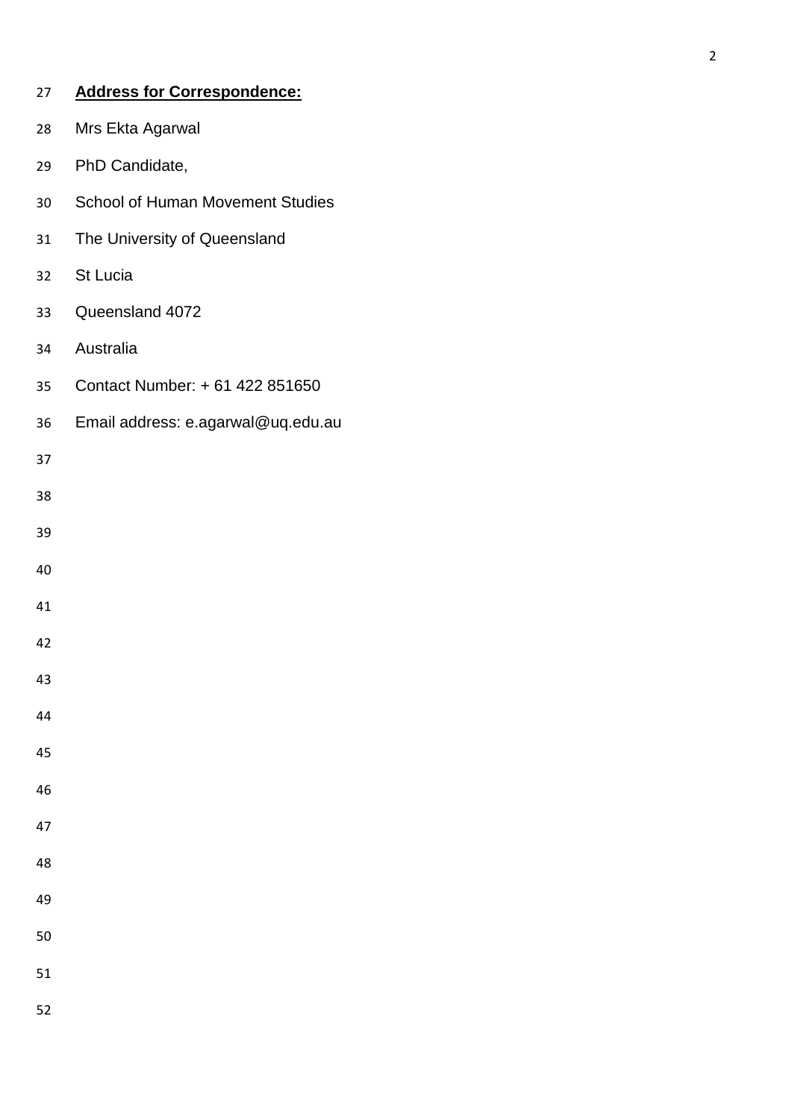| 27 | <b>Address for Correspondence:</b>      |
|----|-----------------------------------------|
| 28 | Mrs Ekta Agarwal                        |
| 29 | PhD Candidate,                          |
| 30 | <b>School of Human Movement Studies</b> |
| 31 | The University of Queensland            |
| 32 | St Lucia                                |
| 33 | Queensland 4072                         |
| 34 | Australia                               |
| 35 | Contact Number: + 61 422 851650         |
| 36 | Email address: e.agarwal@uq.edu.au      |
| 37 |                                         |
| 38 |                                         |
| 39 |                                         |
| 40 |                                         |
| 41 |                                         |
| 42 |                                         |
| 43 |                                         |
| 44 |                                         |
| 45 |                                         |
| 46 |                                         |
| 47 |                                         |
| 48 |                                         |
| 49 |                                         |
| 50 |                                         |
| 51 |                                         |
| 52 |                                         |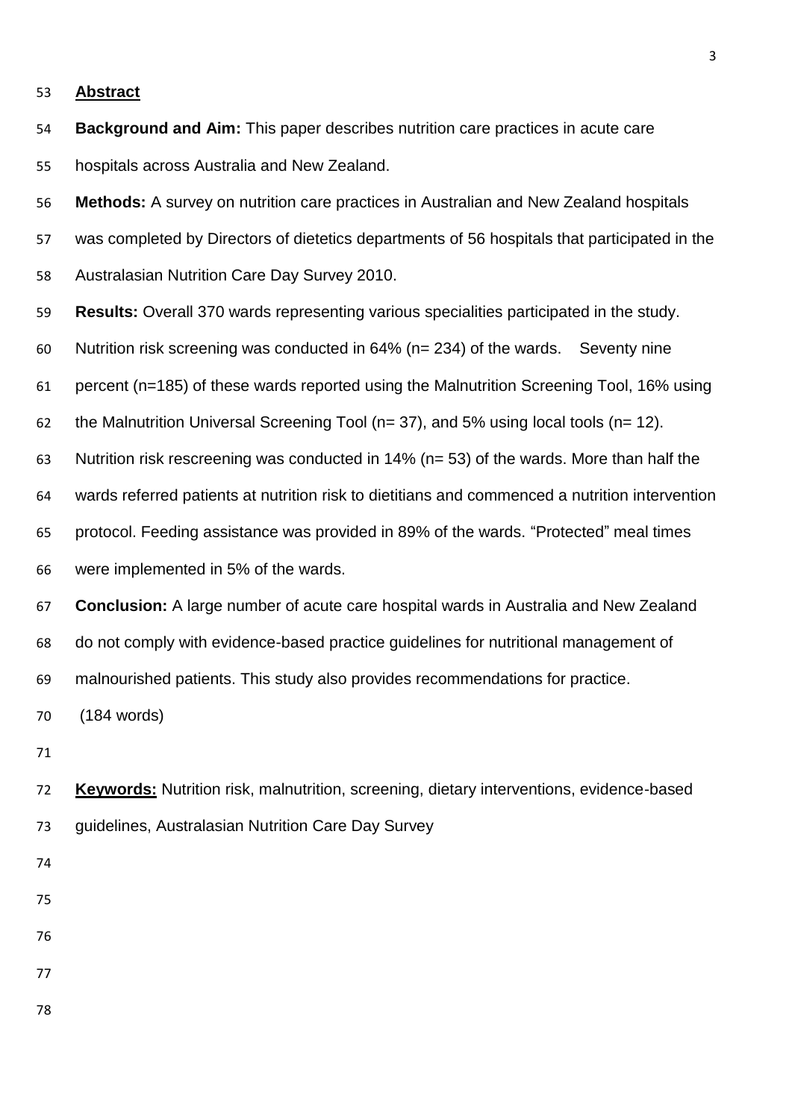#### **Abstract**

- **Background and Aim:** This paper describes nutrition care practices in acute care hospitals across Australia and New Zealand.
- **Methods:** A survey on nutrition care practices in Australian and New Zealand hospitals
- was completed by Directors of dietetics departments of 56 hospitals that participated in the
- Australasian Nutrition Care Day Survey 2010.
- **Results:** Overall 370 wards representing various specialities participated in the study.
- Nutrition risk screening was conducted in 64% (n= 234) of the wards. Seventy nine
- percent (n=185) of these wards reported using the Malnutrition Screening Tool, 16% using
- 62 the Malnutrition Universal Screening Tool ( $n= 37$ ), and 5% using local tools ( $n= 12$ ).
- Nutrition risk rescreening was conducted in 14% (n= 53) of the wards. More than half the
- wards referred patients at nutrition risk to dietitians and commenced a nutrition intervention
- protocol. Feeding assistance was provided in 89% of the wards. "Protected" meal times
- were implemented in 5% of the wards.
- **Conclusion:** A large number of acute care hospital wards in Australia and New Zealand do not comply with evidence-based practice guidelines for nutritional management of
- malnourished patients. This study also provides recommendations for practice.

(184 words)

- 
- **Keywords:** Nutrition risk, malnutrition, screening, dietary interventions, evidence-based guidelines, Australasian Nutrition Care Day Survey
- 
- 
- 
- 
- 
-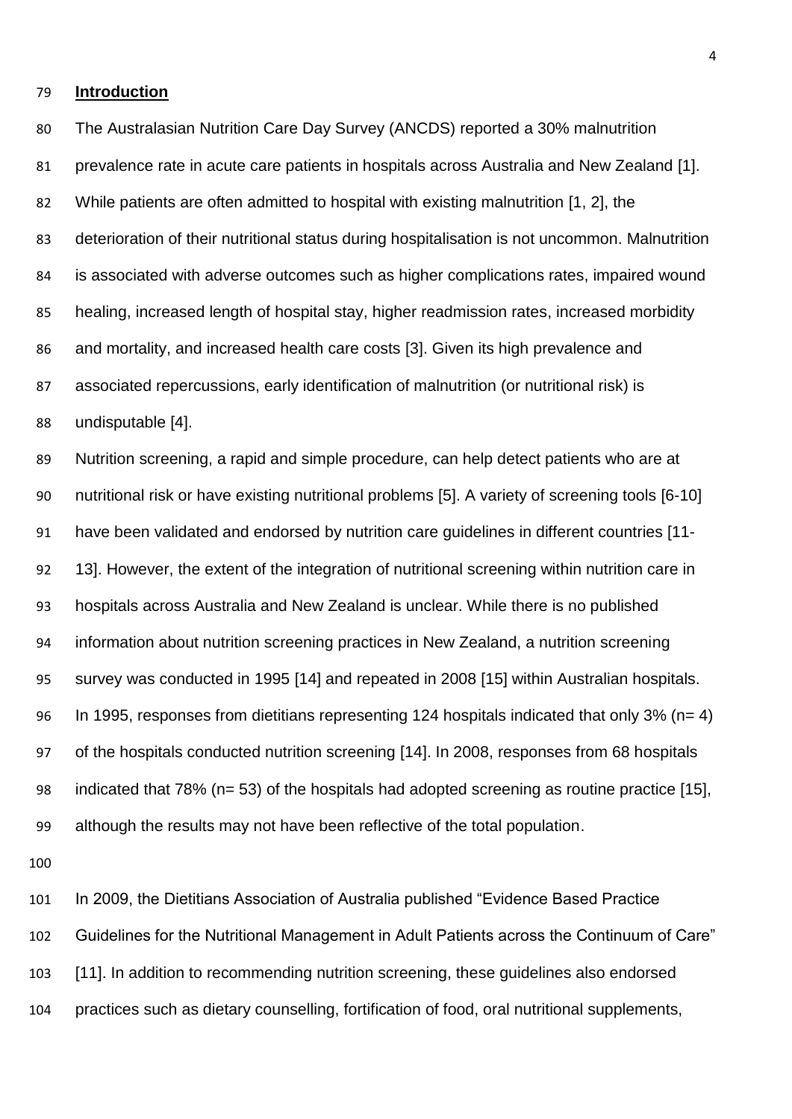#### **Introduction**

 The Australasian Nutrition Care Day Survey (ANCDS) reported a 30% malnutrition prevalence rate in acute care patients in hospitals across Australia and New Zealand [\[1\]](#page-23-0). While patients are often admitted to hospital with existing malnutrition [\[1,](#page-23-0) [2\]](#page-23-1), the deterioration of their nutritional status during hospitalisation is not uncommon. Malnutrition is associated with adverse outcomes such as higher complications rates, impaired wound healing, increased length of hospital stay, higher readmission rates, increased morbidity and mortality, and increased health care costs [\[3\]](#page-23-2). Given its high prevalence and associated repercussions, early identification of malnutrition (or nutritional risk) is undisputable [\[4\]](#page-23-3).

 Nutrition screening, a rapid and simple procedure, can help detect patients who are at nutritional risk or have existing nutritional problems [\[5\]](#page-23-4). A variety of screening tools [\[6-10\]](#page-23-5) have been validated and endorsed by nutrition care guidelines in different countries [\[11-](#page-23-6) [13\]](#page-23-6). However, the extent of the integration of nutritional screening within nutrition care in hospitals across Australia and New Zealand is unclear. While there is no published information about nutrition screening practices in New Zealand, a nutrition screening survey was conducted in 1995 [\[14\]](#page-23-7) and repeated in 2008 [\[15\]](#page-23-8) within Australian hospitals. In 1995, responses from dietitians representing 124 hospitals indicated that only 3% (n= 4) of the hospitals conducted nutrition screening [\[14\]](#page-23-7). In 2008, responses from 68 hospitals indicated that 78% (n= 53) of the hospitals had adopted screening as routine practice [\[15\]](#page-23-8), although the results may not have been reflective of the total population.

 In 2009, the Dietitians Association of Australia published "Evidence Based Practice Guidelines for the Nutritional Management in Adult Patients across the Continuum of Care" [\[11\]](#page-23-6). In addition to recommending nutrition screening, these guidelines also endorsed practices such as dietary counselling, fortification of food, oral nutritional supplements,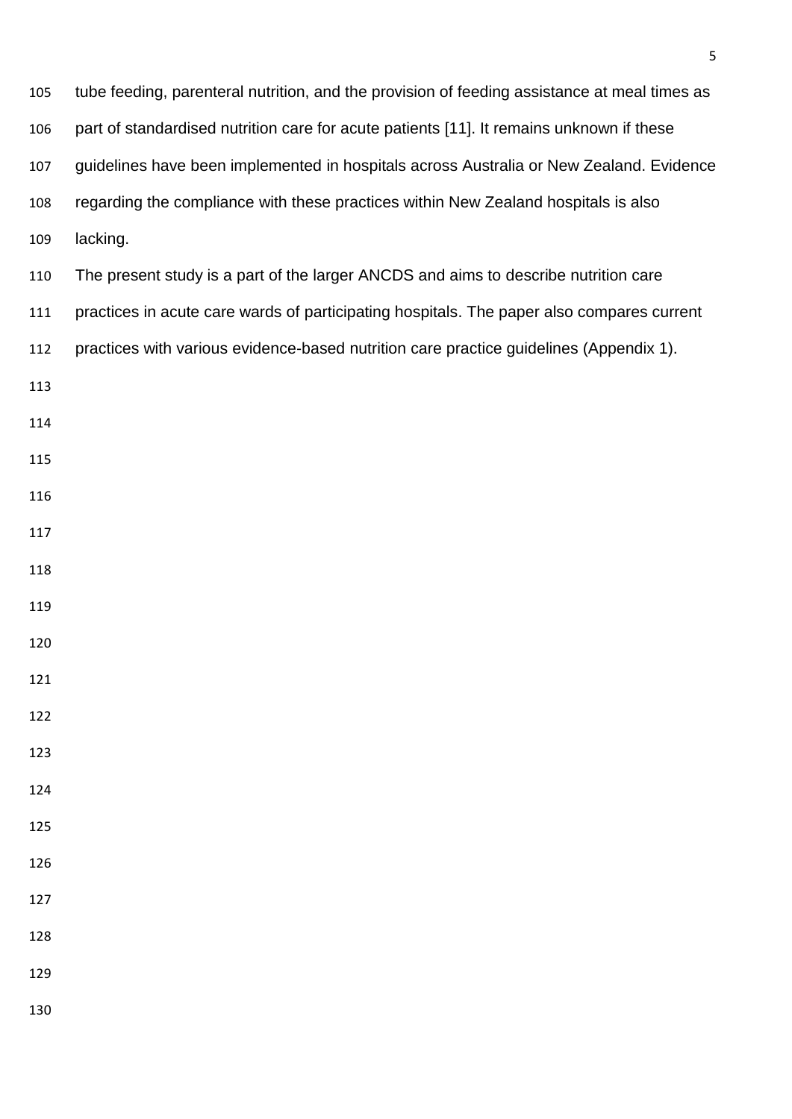| 105 | tube feeding, parenteral nutrition, and the provision of feeding assistance at meal times as |
|-----|----------------------------------------------------------------------------------------------|
| 106 | part of standardised nutrition care for acute patients [11]. It remains unknown if these     |
| 107 | guidelines have been implemented in hospitals across Australia or New Zealand. Evidence      |
| 108 | regarding the compliance with these practices within New Zealand hospitals is also           |
| 109 | lacking.                                                                                     |
| 110 | The present study is a part of the larger ANCDS and aims to describe nutrition care          |
| 111 | practices in acute care wards of participating hospitals. The paper also compares current    |
| 112 | practices with various evidence-based nutrition care practice guidelines (Appendix 1).       |
| 113 |                                                                                              |
| 114 |                                                                                              |
| 115 |                                                                                              |
| 116 |                                                                                              |
| 117 |                                                                                              |
| 118 |                                                                                              |
| 119 |                                                                                              |
| 120 |                                                                                              |
| 121 |                                                                                              |
| 122 |                                                                                              |
| 123 |                                                                                              |
| 124 |                                                                                              |
| 125 |                                                                                              |
| 126 |                                                                                              |
| 127 |                                                                                              |
| 128 |                                                                                              |
| 129 |                                                                                              |
| 130 |                                                                                              |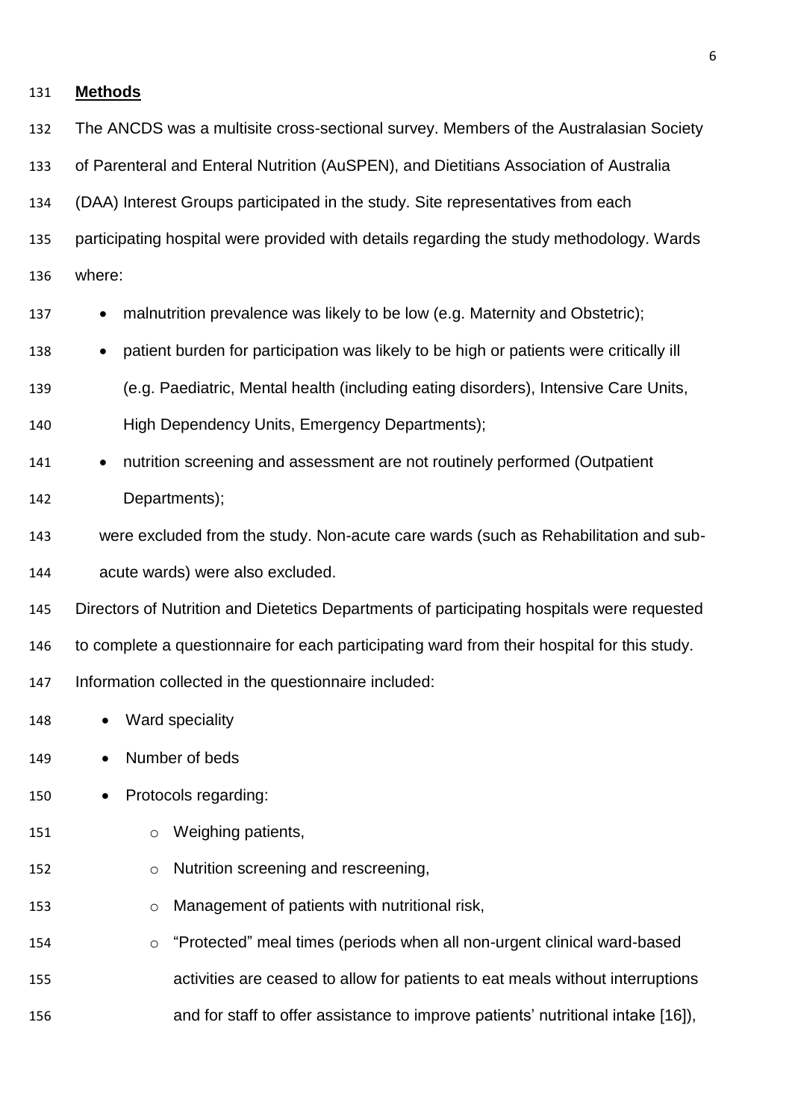| 131 | <b>Methods</b>                                                                              |
|-----|---------------------------------------------------------------------------------------------|
| 132 | The ANCDS was a multisite cross-sectional survey. Members of the Australasian Society       |
| 133 | of Parenteral and Enteral Nutrition (AuSPEN), and Dietitians Association of Australia       |
| 134 | (DAA) Interest Groups participated in the study. Site representatives from each             |
| 135 | participating hospital were provided with details regarding the study methodology. Wards    |
| 136 | where:                                                                                      |
| 137 | malnutrition prevalence was likely to be low (e.g. Maternity and Obstetric);                |
| 138 | patient burden for participation was likely to be high or patients were critically ill      |
| 139 | (e.g. Paediatric, Mental health (including eating disorders), Intensive Care Units,         |
| 140 | High Dependency Units, Emergency Departments);                                              |
| 141 | nutrition screening and assessment are not routinely performed (Outpatient<br>$\bullet$     |
| 142 | Departments);                                                                               |
| 143 | were excluded from the study. Non-acute care wards (such as Rehabilitation and sub-         |
| 144 | acute wards) were also excluded.                                                            |
| 145 | Directors of Nutrition and Dietetics Departments of participating hospitals were requested  |
| 146 | to complete a questionnaire for each participating ward from their hospital for this study. |
| 147 | Information collected in the questionnaire included:                                        |
| 148 | Ward speciality                                                                             |
| 149 | Number of beds                                                                              |
| 150 | Protocols regarding:                                                                        |
| 151 | Weighing patients,<br>$\circ$                                                               |
| 152 | Nutrition screening and rescreening,<br>O                                                   |
| 153 | Management of patients with nutritional risk,<br>$\circ$                                    |
| 154 | "Protected" meal times (periods when all non-urgent clinical ward-based<br>$\circ$          |
| 155 | activities are ceased to allow for patients to eat meals without interruptions              |
| 156 | and for staff to offer assistance to improve patients' nutritional intake [16]),            |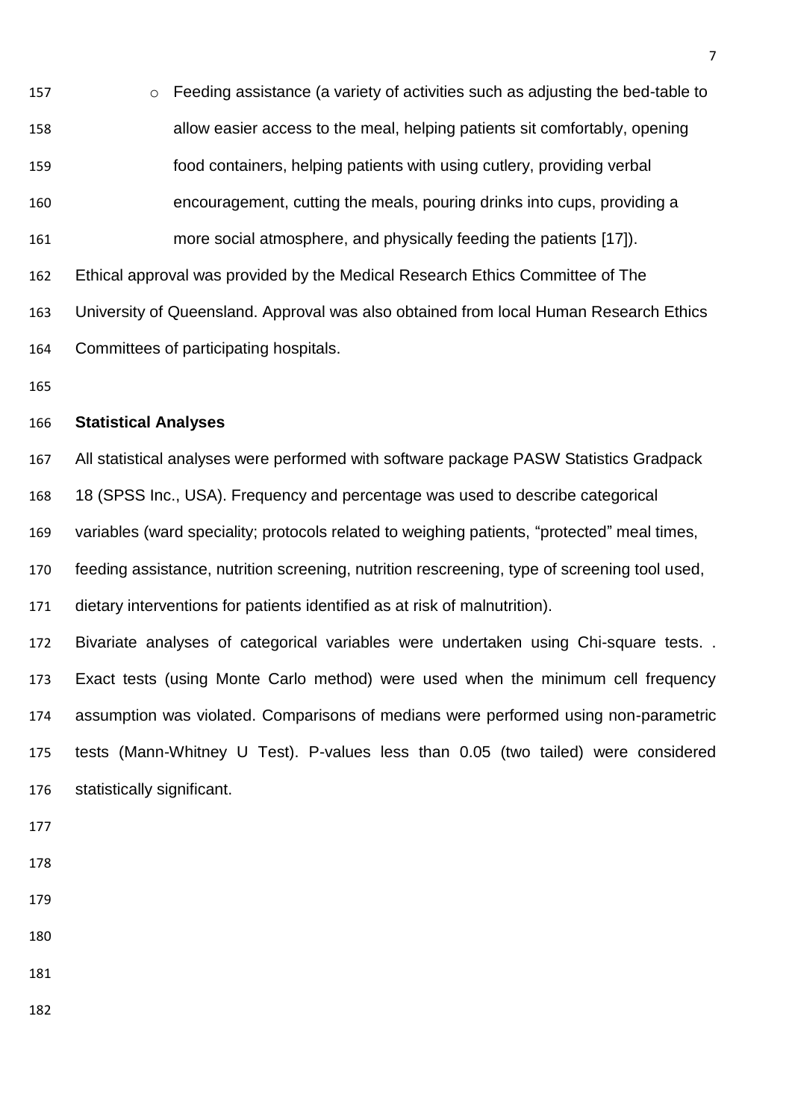o Feeding assistance (a variety of activities such as adjusting the bed-table to allow easier access to the meal, helping patients sit comfortably, opening food containers, helping patients with using cutlery, providing verbal encouragement, cutting the meals, pouring drinks into cups, providing a more social atmosphere, and physically feeding the patients [\[17\]](#page-23-10)). Ethical approval was provided by the Medical Research Ethics Committee of The University of Queensland. Approval was also obtained from local Human Research Ethics Committees of participating hospitals.

#### **Statistical Analyses**

All statistical analyses were performed with software package PASW Statistics Gradpack

18 (SPSS Inc., USA). Frequency and percentage was used to describe categorical

variables (ward speciality; protocols related to weighing patients, "protected" meal times,

feeding assistance, nutrition screening, nutrition rescreening, type of screening tool used,

dietary interventions for patients identified as at risk of malnutrition).

 Bivariate analyses of categorical variables were undertaken using Chi-square tests. . Exact tests (using Monte Carlo method) were used when the minimum cell frequency assumption was violated. Comparisons of medians were performed using non-parametric tests (Mann-Whitney U Test). P-values less than 0.05 (two tailed) were considered statistically significant.

- 
- 
- 
- 
- 
- 
-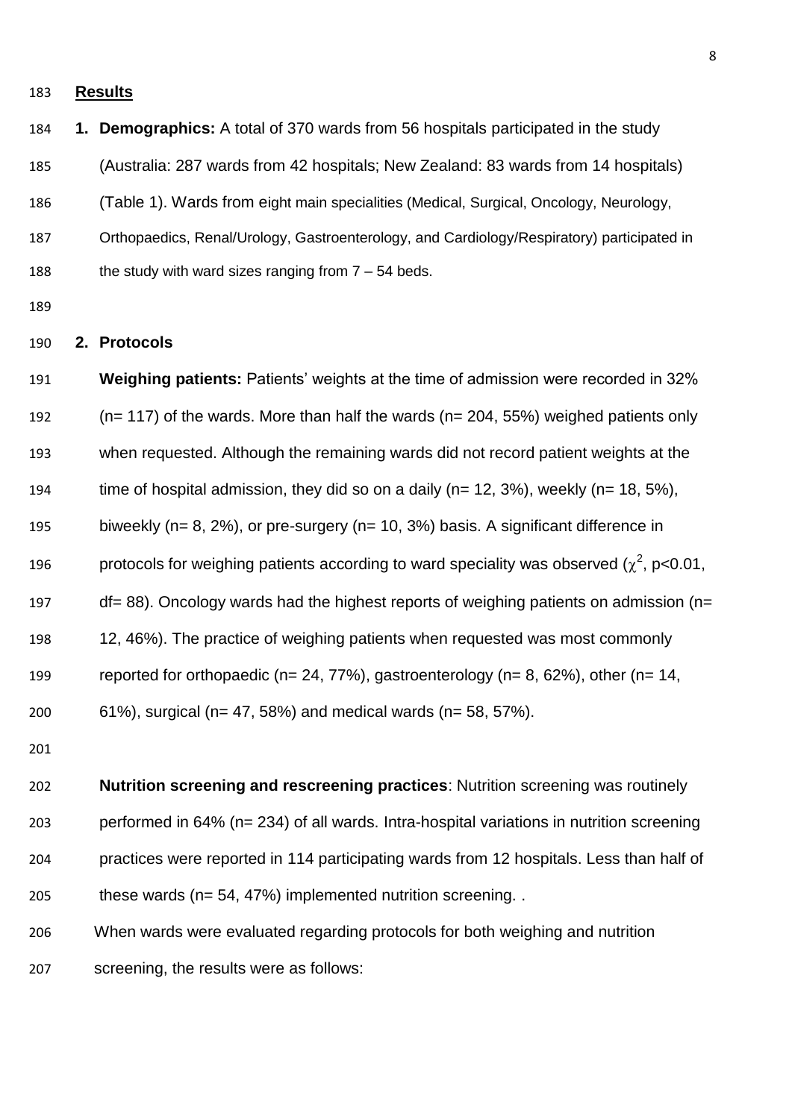#### **Results**

- **1. Demographics:** A total of 370 wards from 56 hospitals participated in the study
- (Australia: 287 wards from 42 hospitals; New Zealand: 83 wards from 14 hospitals)
- (Table 1). Wards from eight main specialities (Medical, Surgical, Oncology, Neurology,
- Orthopaedics, Renal/Urology, Gastroenterology, and Cardiology/Respiratory) participated in
- 188 the study with ward sizes ranging from  $7 54$  beds.
- 

### **2. Protocols**

 **Weighing patients:** Patients' weights at the time of admission were recorded in 32% (n= 117) of the wards. More than half the wards (n= 204, 55%) weighed patients only when requested. Although the remaining wards did not record patient weights at the time of hospital admission, they did so on a daily (n= 12, 3%), weekly (n= 18, 5%), biweekly (n= 8, 2%), or pre-surgery (n= 10, 3%) basis. A significant difference in 196 protocols for weighing patients according to ward speciality was observed ( $\chi^2$ , p<0.01, df= 88). Oncology wards had the highest reports of weighing patients on admission (n= 12, 46%). The practice of weighing patients when requested was most commonly reported for orthopaedic (n= 24, 77%), gastroenterology (n= 8, 62%), other (n= 14, 61%), surgical (n= 47, 58%) and medical wards (n= 58, 57%).

 **Nutrition screening and rescreening practices**: Nutrition screening was routinely performed in 64% (n= 234) of all wards. Intra-hospital variations in nutrition screening practices were reported in 114 participating wards from 12 hospitals. Less than half of these wards (n= 54, 47%) implemented nutrition screening. .

When wards were evaluated regarding protocols for both weighing and nutrition

screening, the results were as follows: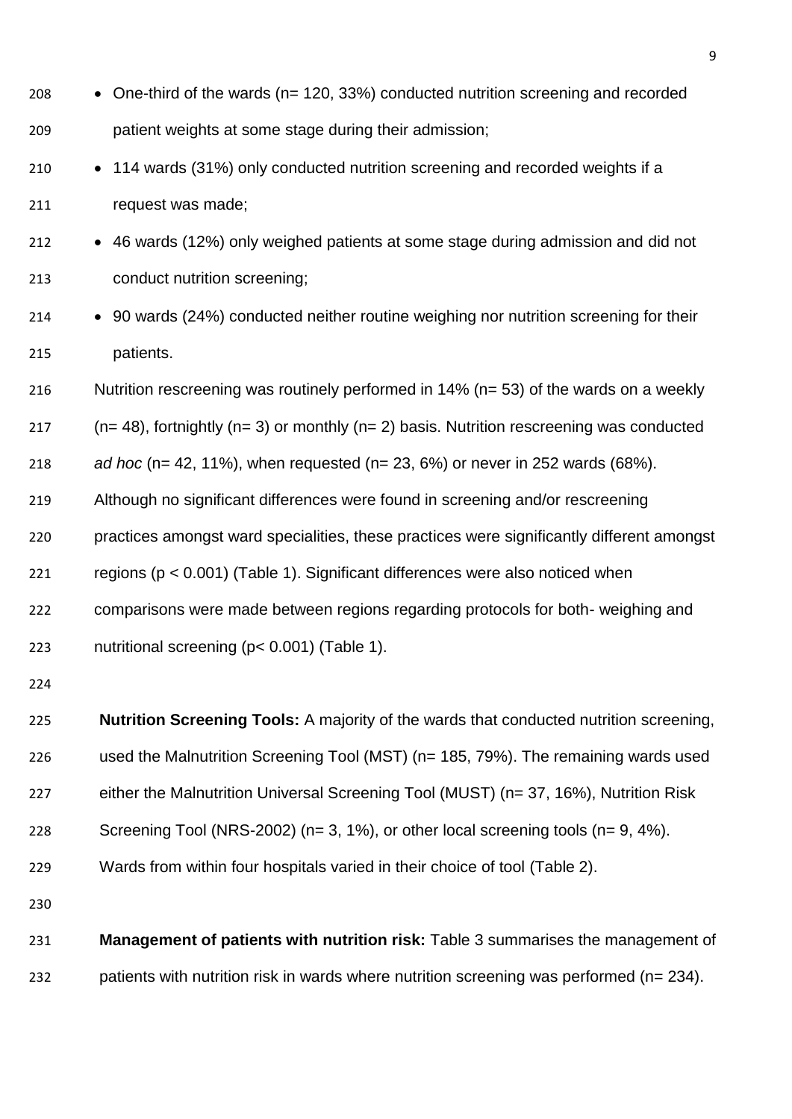| 208 | • One-third of the wards ( $n = 120, 33\%$ ) conducted nutrition screening and recorded      |
|-----|----------------------------------------------------------------------------------------------|
| 209 | patient weights at some stage during their admission;                                        |
| 210 | • 114 wards (31%) only conducted nutrition screening and recorded weights if a               |
| 211 | request was made;                                                                            |
| 212 | • 46 wards (12%) only weighed patients at some stage during admission and did not            |
| 213 | conduct nutrition screening;                                                                 |
| 214 | • 90 wards (24%) conducted neither routine weighing nor nutrition screening for their        |
| 215 | patients.                                                                                    |
| 216 | Nutrition rescreening was routinely performed in $14\%$ (n= 53) of the wards on a weekly     |
| 217 | $(n=48)$ , fortnightly $(n=3)$ or monthly $(n=2)$ basis. Nutrition rescreening was conducted |
| 218 | ad hoc (n= 42, 11%), when requested (n= 23, 6%) or never in 252 wards (68%).                 |
| 219 | Although no significant differences were found in screening and/or rescreening               |
| 220 | practices amongst ward specialities, these practices were significantly different amongst    |
| 221 | regions ( $p < 0.001$ ) (Table 1). Significant differences were also noticed when            |
| 222 | comparisons were made between regions regarding protocols for both- weighing and             |
| 223 | nutritional screening (p< 0.001) (Table 1).                                                  |
| 224 |                                                                                              |
| 225 | Nutrition Screening Tools: A majority of the wards that conducted nutrition screening,       |
| 226 | used the Malnutrition Screening Tool (MST) (n= 185, 79%). The remaining wards used           |
| 227 | either the Malnutrition Universal Screening Tool (MUST) (n= 37, 16%), Nutrition Risk         |
| 228 | Screening Tool (NRS-2002) ( $n=3, 1\%$ ), or other local screening tools ( $n=9, 4\%$ ).     |
| 229 | Wards from within four hospitals varied in their choice of tool (Table 2).                   |
| 230 |                                                                                              |
| 231 | Management of patients with nutrition risk: Table 3 summarises the management of             |
| 232 | patients with nutrition risk in wards where nutrition screening was performed (n= 234).      |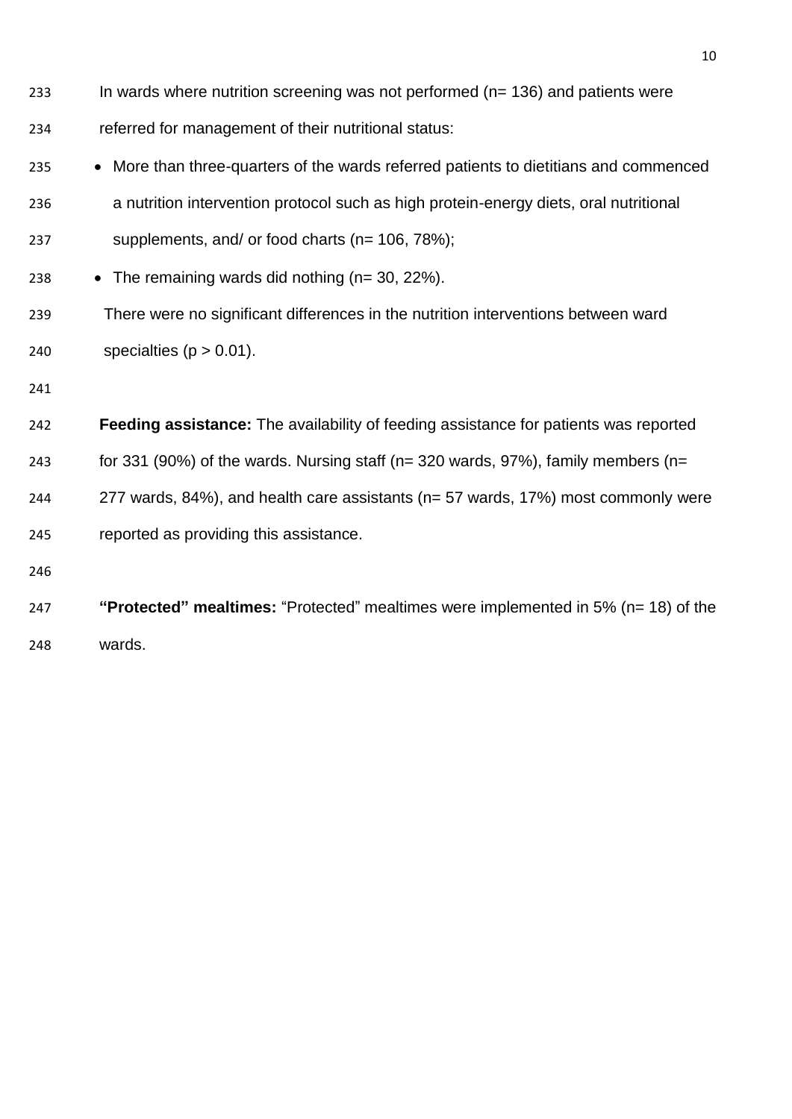| 233 | In wards where nutrition screening was not performed ( $n = 136$ ) and patients were        |
|-----|---------------------------------------------------------------------------------------------|
| 234 | referred for management of their nutritional status:                                        |
| 235 | • More than three-quarters of the wards referred patients to dietitians and commenced       |
| 236 | a nutrition intervention protocol such as high protein-energy diets, oral nutritional       |
| 237 | supplements, and/ or food charts ( $n = 106, 78\%$ );                                       |
| 238 | • The remaining wards did nothing ( $n = 30, 22\%$ ).                                       |
| 239 | There were no significant differences in the nutrition interventions between ward           |
| 240 | specialties ( $p > 0.01$ ).                                                                 |
| 241 |                                                                                             |
| 242 | <b>Feeding assistance:</b> The availability of feeding assistance for patients was reported |
| 243 | for 331 (90%) of the wards. Nursing staff ( $n=$ 320 wards, 97%), family members ( $n=$     |
| 244 | 277 wards, 84%), and health care assistants (n= 57 wards, 17%) most commonly were           |
| 245 | reported as providing this assistance.                                                      |

- 
- **"Protected" mealtimes:** "Protected" mealtimes were implemented in 5% (n= 18) of the wards.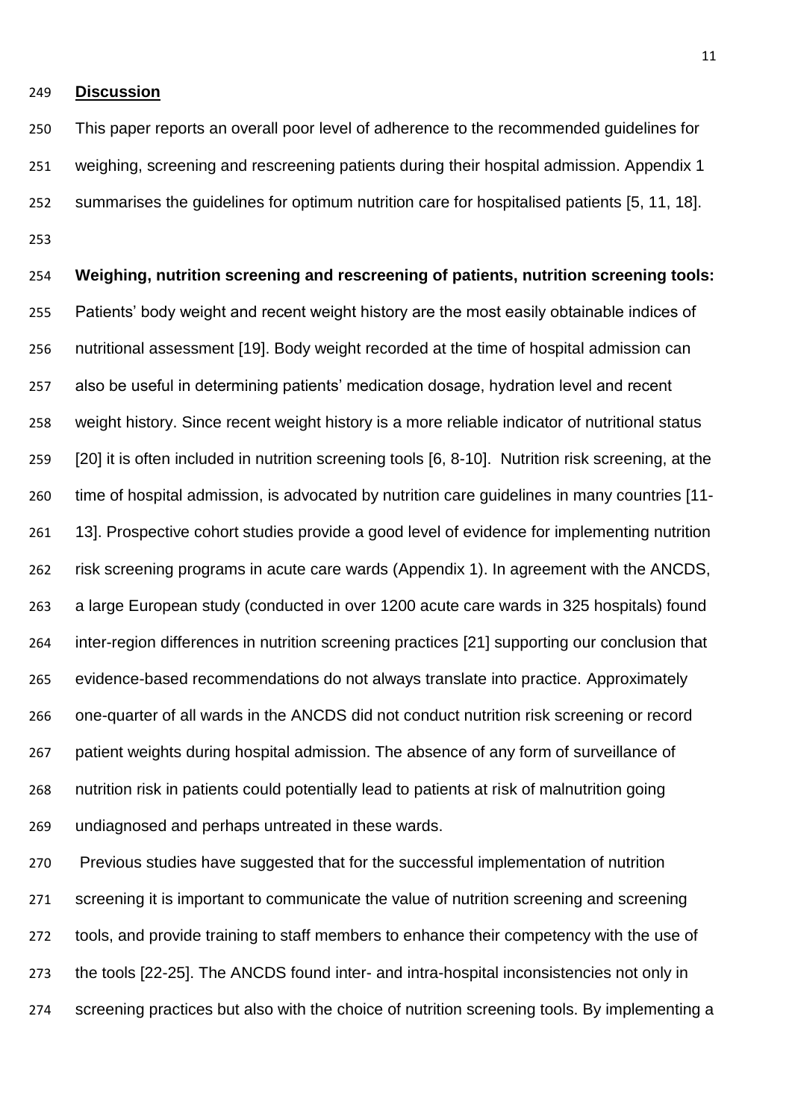#### **Discussion**

 This paper reports an overall poor level of adherence to the recommended guidelines for weighing, screening and rescreening patients during their hospital admission. Appendix 1 summarises the guidelines for optimum nutrition care for hospitalised patients [\[5,](#page-23-4) [11,](#page-23-6) [18\]](#page-23-11). 

 **Weighing, nutrition screening and rescreening of patients, nutrition screening tools:**  Patients' body weight and recent weight history are the most easily obtainable indices of nutritional assessment [\[19\]](#page-23-12). Body weight recorded at the time of hospital admission can also be useful in determining patients' medication dosage, hydration level and recent weight history. Since recent weight history is a more reliable indicator of nutritional status [\[20\]](#page-23-13) it is often included in nutrition screening tools [\[6,](#page-23-5) [8-10\]](#page-23-14). Nutrition risk screening, at the time of hospital admission, is advocated by nutrition care guidelines in many countries [\[11-](#page-23-6) [13\]](#page-23-6). Prospective cohort studies provide a good level of evidence for implementing nutrition risk screening programs in acute care wards (Appendix 1). In agreement with the ANCDS, a large European study (conducted in over 1200 acute care wards in 325 hospitals) found inter-region differences in nutrition screening practices [\[21\]](#page-24-0) supporting our conclusion that evidence-based recommendations do not always translate into practice. Approximately one-quarter of all wards in the ANCDS did not conduct nutrition risk screening or record patient weights during hospital admission. The absence of any form of surveillance of nutrition risk in patients could potentially lead to patients at risk of malnutrition going undiagnosed and perhaps untreated in these wards.

 Previous studies have suggested that for the successful implementation of nutrition screening it is important to communicate the value of nutrition screening and screening tools, and provide training to staff members to enhance their competency with the use of the tools [\[22-25\]](#page-24-1). The ANCDS found inter- and intra-hospital inconsistencies not only in screening practices but also with the choice of nutrition screening tools. By implementing a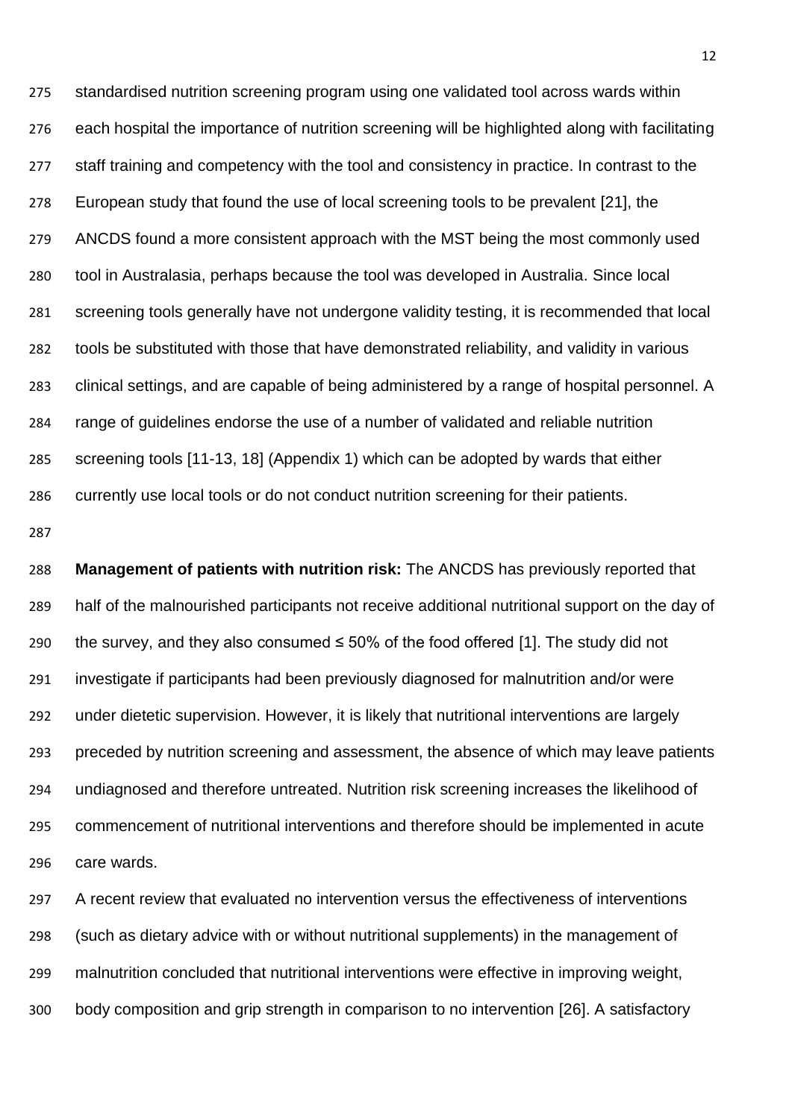standardised nutrition screening program using one validated tool across wards within each hospital the importance of nutrition screening will be highlighted along with facilitating 277 staff training and competency with the tool and consistency in practice. In contrast to the European study that found the use of local screening tools to be prevalent [\[21\]](#page-24-0), the ANCDS found a more consistent approach with the MST being the most commonly used tool in Australasia, perhaps because the tool was developed in Australia. Since local screening tools generally have not undergone validity testing, it is recommended that local tools be substituted with those that have demonstrated reliability, and validity in various clinical settings, and are capable of being administered by a range of hospital personnel. A range of guidelines endorse the use of a number of validated and reliable nutrition screening tools [\[11-13,](#page-23-6) [18\]](#page-23-11) (Appendix 1) which can be adopted by wards that either currently use local tools or do not conduct nutrition screening for their patients.

 **Management of patients with nutrition risk:** The ANCDS has previously reported that half of the malnourished participants not receive additional nutritional support on the day of 290 the survey, and they also consumed  $\leq$  50% of the food offered [\[1\]](#page-23-0). The study did not investigate if participants had been previously diagnosed for malnutrition and/or were under dietetic supervision. However, it is likely that nutritional interventions are largely preceded by nutrition screening and assessment, the absence of which may leave patients undiagnosed and therefore untreated. Nutrition risk screening increases the likelihood of commencement of nutritional interventions and therefore should be implemented in acute care wards.

 A recent review that evaluated no intervention versus the effectiveness of interventions (such as dietary advice with or without nutritional supplements) in the management of malnutrition concluded that nutritional interventions were effective in improving weight, body composition and grip strength in comparison to no intervention [\[26\]](#page-24-2). A satisfactory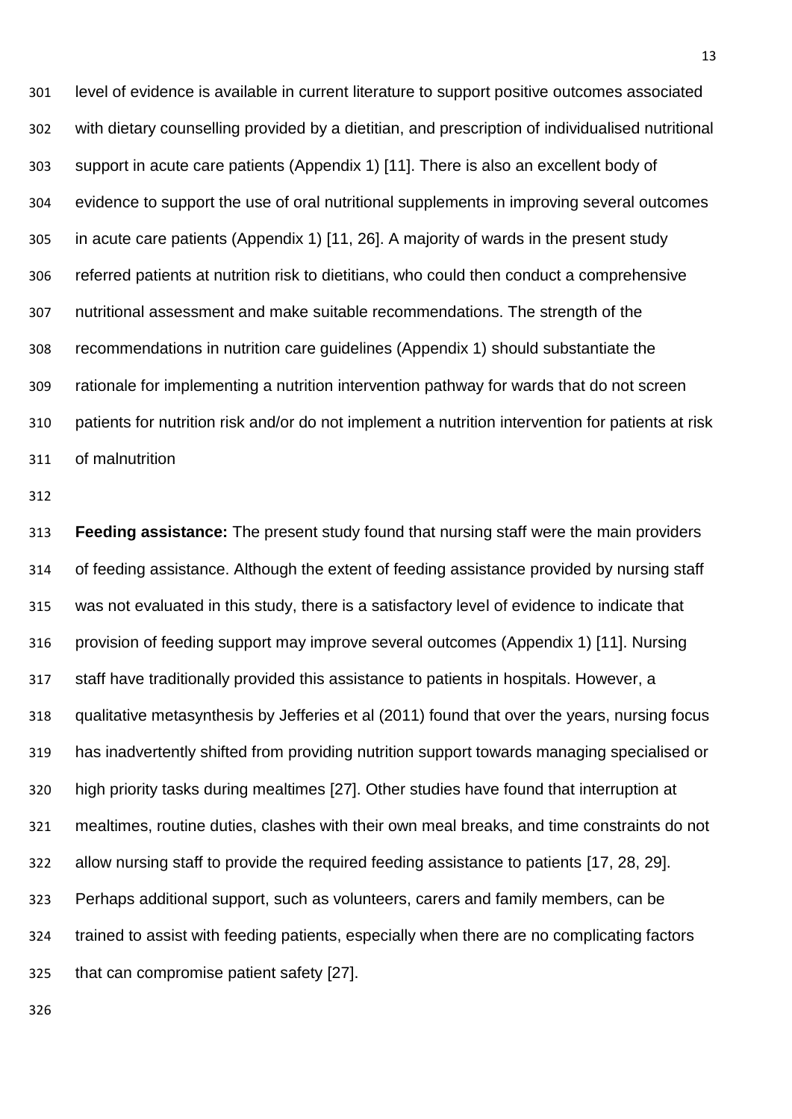level of evidence is available in current literature to support positive outcomes associated with dietary counselling provided by a dietitian, and prescription of individualised nutritional support in acute care patients (Appendix 1) [\[11\]](#page-23-6). There is also an excellent body of evidence to support the use of oral nutritional supplements in improving several outcomes in acute care patients (Appendix 1) [\[11,](#page-23-6) [26\]](#page-24-2). A majority of wards in the present study referred patients at nutrition risk to dietitians, who could then conduct a comprehensive nutritional assessment and make suitable recommendations. The strength of the recommendations in nutrition care guidelines (Appendix 1) should substantiate the rationale for implementing a nutrition intervention pathway for wards that do not screen patients for nutrition risk and/or do not implement a nutrition intervention for patients at risk of malnutrition

 **Feeding assistance:** The present study found that nursing staff were the main providers of feeding assistance. Although the extent of feeding assistance provided by nursing staff was not evaluated in this study, there is a satisfactory level of evidence to indicate that provision of feeding support may improve several outcomes (Appendix 1) [\[11\]](#page-23-6). Nursing staff have traditionally provided this assistance to patients in hospitals. However, a qualitative metasynthesis by Jefferies et al (2011) found that over the years, nursing focus has inadvertently shifted from providing nutrition support towards managing specialised or high priority tasks during mealtimes [\[27\]](#page-24-3). Other studies have found that interruption at mealtimes, routine duties, clashes with their own meal breaks, and time constraints do not allow nursing staff to provide the required feeding assistance to patients [\[17,](#page-23-10) [28,](#page-24-4) [29\]](#page-24-5). Perhaps additional support, such as volunteers, carers and family members, can be trained to assist with feeding patients, especially when there are no complicating factors that can compromise patient safety [\[27\]](#page-24-3).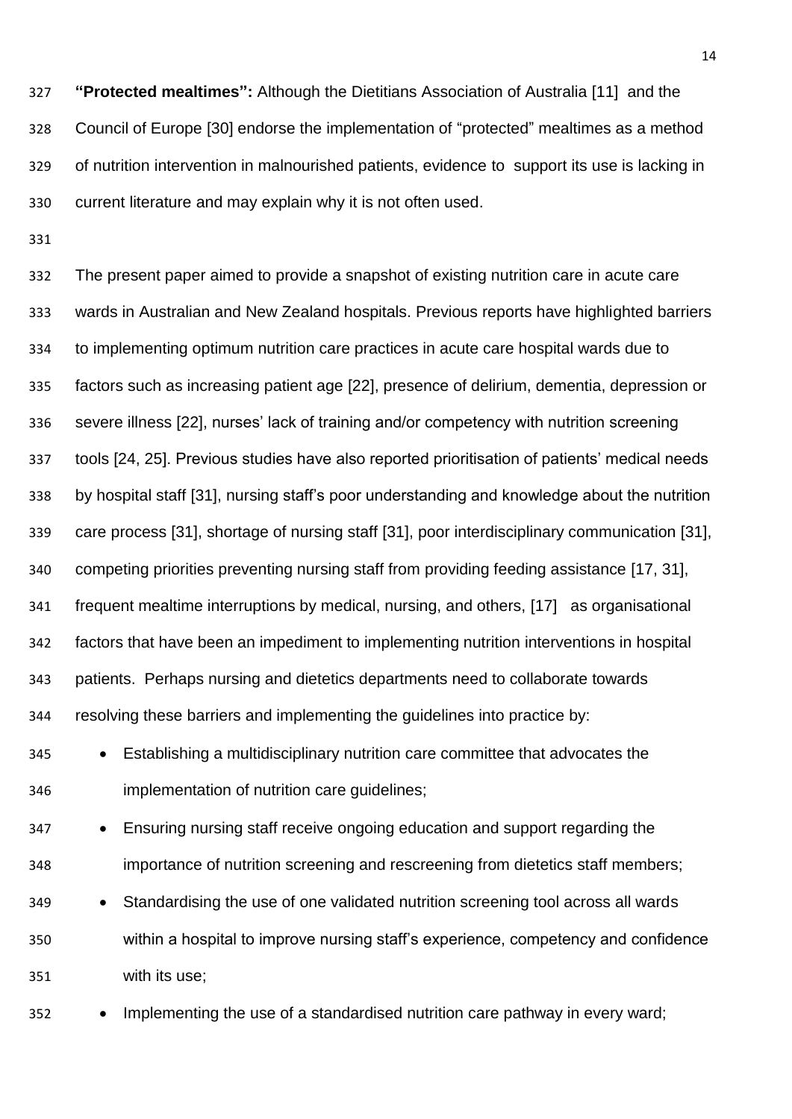**"Protected mealtimes":** Although the Dietitians Association of Australia [\[11\]](#page-23-6) and the Council of Europe [\[30\]](#page-24-6) endorse the implementation of "protected" mealtimes as a method of nutrition intervention in malnourished patients, evidence to support its use is lacking in current literature and may explain why it is not often used.

 The present paper aimed to provide a snapshot of existing nutrition care in acute care wards in Australian and New Zealand hospitals. Previous reports have highlighted barriers to implementing optimum nutrition care practices in acute care hospital wards due to factors such as increasing patient age [\[22\]](#page-24-1), presence of delirium, dementia, depression or severe illness [\[22\]](#page-24-1), nurses' lack of training and/or competency with nutrition screening tools [\[24,](#page-24-7) [25\]](#page-24-8). Previous studies have also reported prioritisation of patients' medical needs by hospital staff [\[31\]](#page-24-9), nursing staff's poor understanding and knowledge about the nutrition care process [\[31\]](#page-24-9), shortage of nursing staff [\[31\]](#page-24-9), poor interdisciplinary communication [\[31\]](#page-24-9), competing priorities preventing nursing staff from providing feeding assistance [\[17,](#page-23-10) [31\]](#page-24-9), frequent mealtime interruptions by medical, nursing, and others, [\[17\]](#page-23-10) as organisational factors that have been an impediment to implementing nutrition interventions in hospital patients. Perhaps nursing and dietetics departments need to collaborate towards resolving these barriers and implementing the guidelines into practice by:

 Establishing a multidisciplinary nutrition care committee that advocates the implementation of nutrition care guidelines;

 Ensuring nursing staff receive ongoing education and support regarding the importance of nutrition screening and rescreening from dietetics staff members;

 Standardising the use of one validated nutrition screening tool across all wards within a hospital to improve nursing staff's experience, competency and confidence with its use;

352 • Implementing the use of a standardised nutrition care pathway in every ward;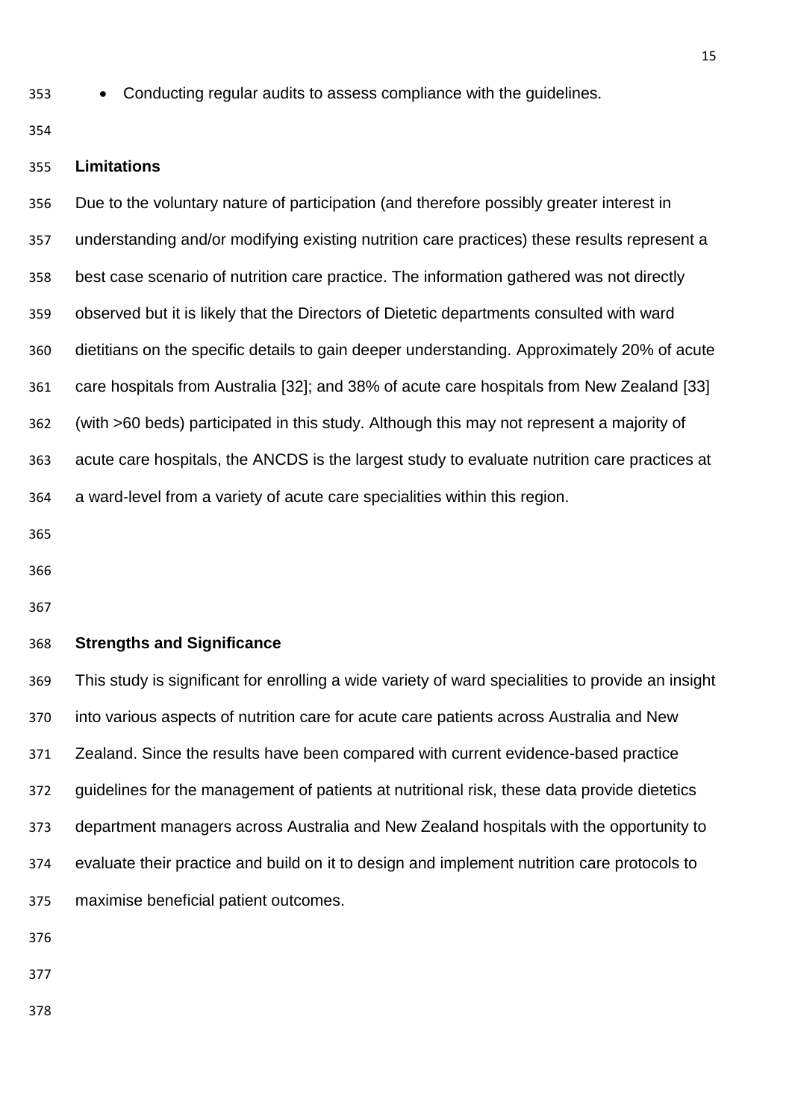- Conducting regular audits to assess compliance with the guidelines.
- 

#### **Limitations**

 Due to the voluntary nature of participation (and therefore possibly greater interest in understanding and/or modifying existing nutrition care practices) these results represent a best case scenario of nutrition care practice. The information gathered was not directly observed but it is likely that the Directors of Dietetic departments consulted with ward dietitians on the specific details to gain deeper understanding. Approximately 20% of acute care hospitals from Australia [\[32\]](#page-24-10); and 38% of acute care hospitals from New Zealand [\[33\]](#page-24-11) (with >60 beds) participated in this study. Although this may not represent a majority of acute care hospitals, the ANCDS is the largest study to evaluate nutrition care practices at a ward-level from a variety of acute care specialities within this region.

#### **Strengths and Significance**

 This study is significant for enrolling a wide variety of ward specialities to provide an insight into various aspects of nutrition care for acute care patients across Australia and New Zealand. Since the results have been compared with current evidence-based practice guidelines for the management of patients at nutritional risk, these data provide dietetics department managers across Australia and New Zealand hospitals with the opportunity to evaluate their practice and build on it to design and implement nutrition care protocols to maximise beneficial patient outcomes.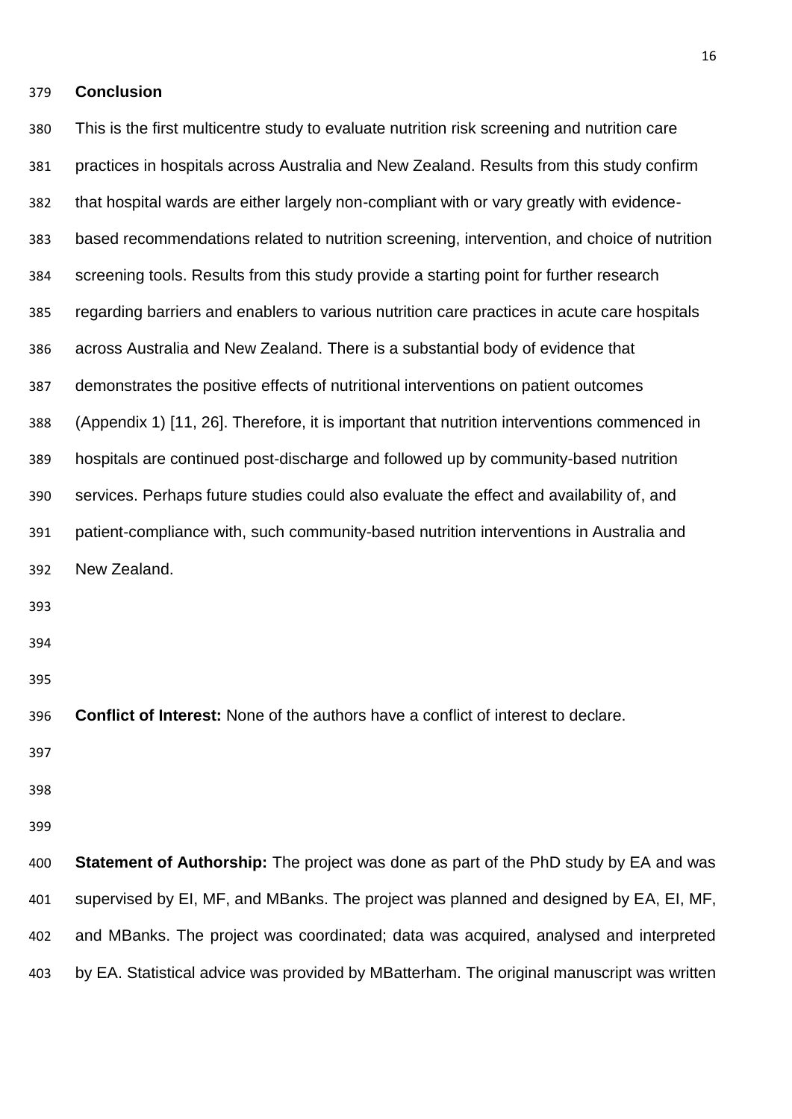#### **Conclusion**

 This is the first multicentre study to evaluate nutrition risk screening and nutrition care practices in hospitals across Australia and New Zealand. Results from this study confirm that hospital wards are either largely non-compliant with or vary greatly with evidence- based recommendations related to nutrition screening, intervention, and choice of nutrition screening tools. Results from this study provide a starting point for further research regarding barriers and enablers to various nutrition care practices in acute care hospitals across Australia and New Zealand. There is a substantial body of evidence that demonstrates the positive effects of nutritional interventions on patient outcomes (Appendix 1) [\[11,](#page-23-6) [26\]](#page-24-2). Therefore, it is important that nutrition interventions commenced in hospitals are continued post-discharge and followed up by community-based nutrition services. Perhaps future studies could also evaluate the effect and availability of, and patient-compliance with, such community-based nutrition interventions in Australia and New Zealand. **Conflict of Interest:** None of the authors have a conflict of interest to declare. **Statement of Authorship:** The project was done as part of the PhD study by EA and was supervised by EI, MF, and MBanks. The project was planned and designed by EA, EI, MF, and MBanks. The project was coordinated; data was acquired, analysed and interpreted

by EA. Statistical advice was provided by MBatterham. The original manuscript was written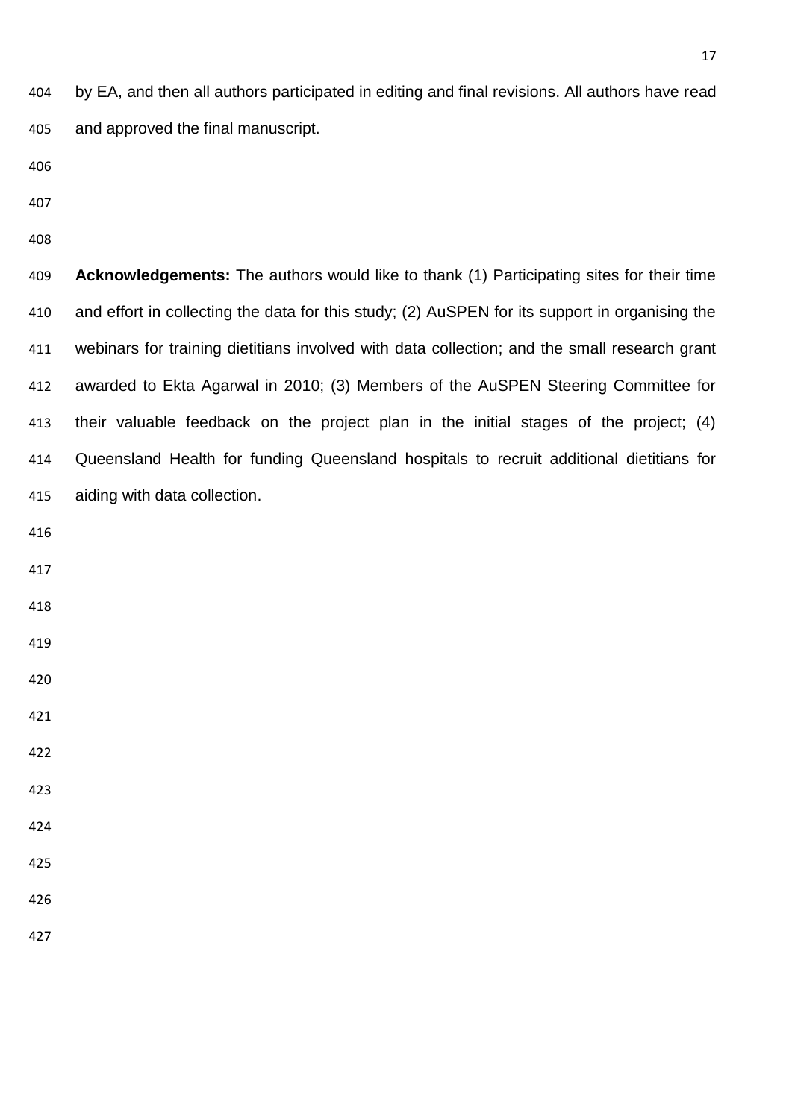by EA, and then all authors participated in editing and final revisions. All authors have read and approved the final manuscript.

 **Acknowledgements:** The authors would like to thank (1) Participating sites for their time and effort in collecting the data for this study; (2) AuSPEN for its support in organising the webinars for training dietitians involved with data collection; and the small research grant awarded to Ekta Agarwal in 2010; (3) Members of the AuSPEN Steering Committee for their valuable feedback on the project plan in the initial stages of the project; (4) Queensland Health for funding Queensland hospitals to recruit additional dietitians for aiding with data collection.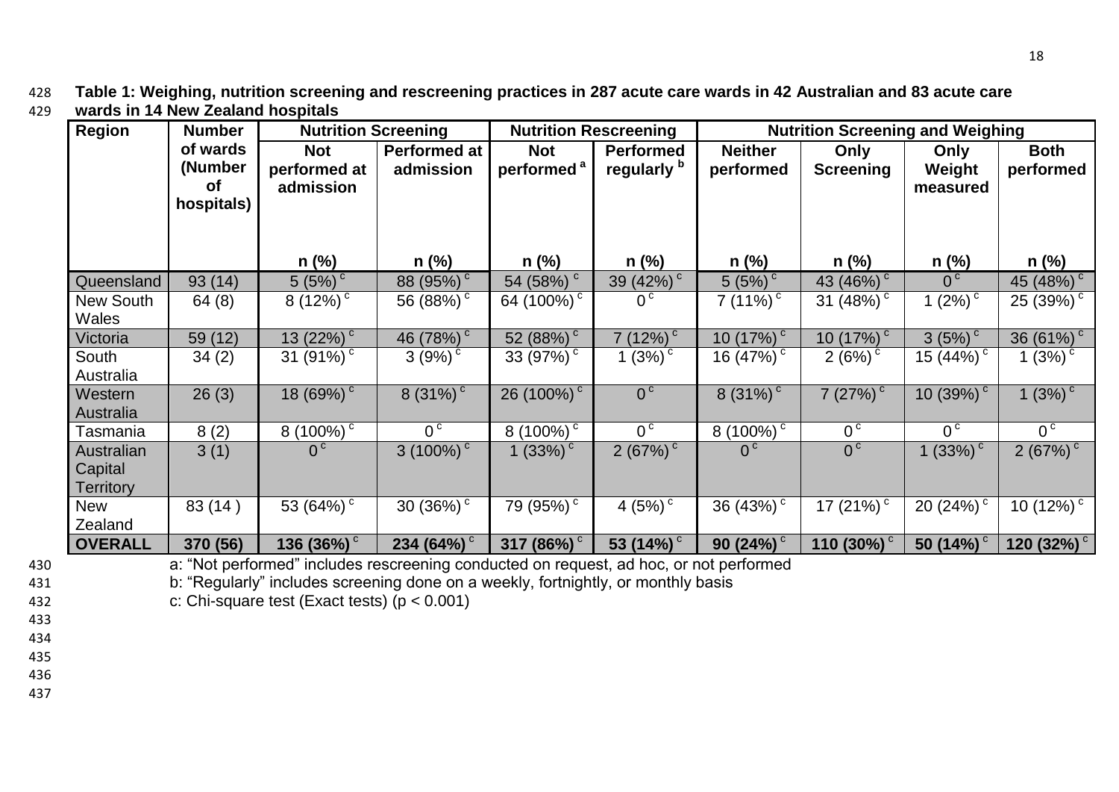428 **Table 1: Weighing, nutrition screening and rescreening practices in 287 acute care wards in 42 Australian and 83 acute care**  429 **wards in 14 New Zealand hospitals**

| <b>Region</b>                             | <b>Number</b>                                  | <b>Nutrition Screening</b>              |                                  | <b>Nutrition Rescreening</b>         |                                            | <b>Nutrition Screening and Weighing</b> |                           |                            |                           |
|-------------------------------------------|------------------------------------------------|-----------------------------------------|----------------------------------|--------------------------------------|--------------------------------------------|-----------------------------------------|---------------------------|----------------------------|---------------------------|
|                                           | of wards<br>(Number<br><b>of</b><br>hospitals) | <b>Not</b><br>performed at<br>admission | <b>Performed at</b><br>admission | <b>Not</b><br>performed <sup>a</sup> | <b>Performed</b><br>regularly <sup>b</sup> | <b>Neither</b><br>performed             | Only<br><b>Screening</b>  | Only<br>Weight<br>measured | <b>Both</b><br>performed  |
|                                           |                                                | $n$ (%)                                 | $n$ (%)                          | $n$ (%)                              | $n$ (%)                                    | $n$ (%)                                 | $n$ (%)                   | $n$ (%)                    | n (%)                     |
| Queensland                                | 93(14)                                         | $5(5%)^c$                               | 88 $(95\%)$ <sup>c</sup>         | 54 (58%) <sup>c</sup>                | 39 (42%) <sup>c</sup>                      | $5(5\%)$                                | 43 $(46\%)$ <sup>c</sup>  | 0 <sup>c</sup>             | 45(48%)                   |
| <b>New South</b>                          | 64 (8)                                         | 8 $(12\%)^{\overline{c}}$               | 56 (88%) $^{\circ}$              | 64 (100%) <sup>c</sup>               | 0 <sup>c</sup>                             | 7 $(11\%)^{\circ}$                      | 31 (48%) $^{\circ}$       | 1 $(2\%)^{\overline{c}}$   | 25 $(39\%)$ <sup>c</sup>  |
| <b>Wales</b>                              |                                                |                                         |                                  |                                      |                                            |                                         |                           |                            |                           |
| Victoria                                  | 59 (12)                                        | 13 $(22\%)$                             | 46 (78%) $^{\circ}$              | 52 (88%) $^{\circ}$                  | 7(12%)                                     | 10 $(17%)$ <sup>c</sup>                 | 10 $(17\%)$ <sup>c</sup>  | $3(5%)^c$                  | 36 $(61\%)$ <sup>c</sup>  |
| South<br>Australia                        | 34(2)                                          | 31 $(91\%)^{\overline{c}}$              | $3(9%)^c$                        | 33 (97%) $\degree$                   | l (3%) $^{\circ}$                          | 16 (47%) $^{\circ}$                     | $2(6%)^c$                 | 15 $(44\sqrt{6})^{\circ}$  | 1 $(3\sqrt{6})^{\circ}$   |
| Western<br>Australia                      | 26(3)                                          | 18 $(69\%)$ <sup>c</sup>                | $8(31\%)$                        | 26 (100%) <sup>c</sup>               | 0 <sup>c</sup>                             | $8(31\%)$                               | 7(27%)                    | 10 (39%) $^{\circ}$        | $1(3%)^c$                 |
| Tasmania                                  | 8(2)                                           | 8 (100%) $^{\circ}$                     | 0 <sub>c</sub>                   | 8 (100%) $^{\circ}$                  | 0 <sup>c</sup>                             | 8 (100%) $^{\circ}$                     | 0 <sub>c</sub>            | 0 <sup>c</sup>             | 0 <sub>c</sub>            |
| Australian<br>Capital<br><b>Territory</b> | 3(1)                                           | 0 <sup>c</sup>                          | $3(100\%)$ <sup>c</sup>          | 1 $(33\%)$ <sup>c</sup>              | 2(67%)                                     | 0 <sup>c</sup>                          | 0 <sup>c</sup>            | 1 $(33%)$                  | 2(67%) <sup>c</sup>       |
| <b>New</b><br>Zealand                     | 83 (14)                                        | 53 (64%) $^{\circ}$                     | 30 (36%) $^{\circ}$              | 79 (95%) <sup>c</sup>                | 4 (5%) $^{\circ}$                          | 36 (43%) $^{\circ}$                     | 17 $(21\%)$ <sup>c</sup>  | 20 (24%) $^{\circ}$        | 10 $(12\%)$ <sup>c</sup>  |
| <b>OVERALL</b>                            | 370 (56)                                       | 136 (36%) $^{\circ}$                    | 234 (64%) $^{\circ}$             | 317 (86%) $^{\circ}$                 | 53 $(14\%)$                                | $90(24\%)$                              | 110 $(30\%)$ <sup>c</sup> | 50 (14%) $^{\circ}$        | 120 $(32\%)$ <sup>c</sup> |

18

430 a: "Not performed" includes rescreening conducted on request, ad hoc, or not performed

431 b: "Regularly" includes screening done on a weekly, fortnightly, or monthly basis

432 c: Chi-square test (Exact tests) (p < 0.001)

433

- 434
- 435 436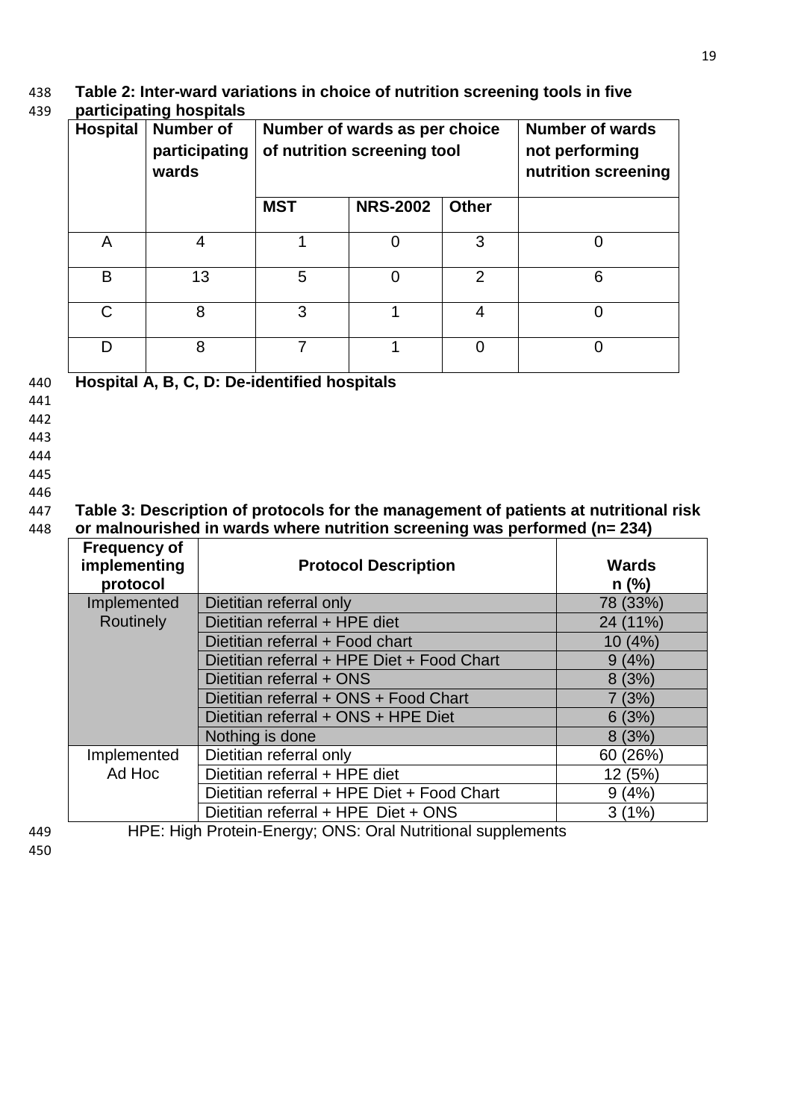# 438 **Table 2: Inter-ward variations in choice of nutrition screening tools in five**

## 439 **participating hospitals**

| <b>Hospital</b> | <b>Number of</b><br>participating<br>wards   | Number of wards as per choice<br>of nutrition screening tool |                 |              | <b>Number of wards</b><br>not performing<br>nutrition screening |  |  |
|-----------------|----------------------------------------------|--------------------------------------------------------------|-----------------|--------------|-----------------------------------------------------------------|--|--|
|                 |                                              | <b>MST</b>                                                   | <b>NRS-2002</b> | <b>Other</b> |                                                                 |  |  |
| A               |                                              |                                                              |                 | 3            |                                                                 |  |  |
| B               | 13                                           | 5                                                            | 0               | 2            | 6                                                               |  |  |
| C               | 8                                            | 3                                                            |                 | 4            | 0                                                               |  |  |
| D               | 8                                            |                                                              |                 | 0            | 0                                                               |  |  |
|                 | Hospital A, B, C, D: De-identified hospitals |                                                              |                 |              |                                                                 |  |  |

19

## 441

- 
- 442
- 443
- 444
- 445
- 446

## 447 **Table 3: Description of protocols for the management of patients at nutritional risk**  448 **or malnourished in wards where nutrition screening was performed (n= 234)**

| <b>Frequency of</b><br>implementing<br>protocol | <b>Protocol Description</b>                | <b>Wards</b><br>$n$ (%) |
|-------------------------------------------------|--------------------------------------------|-------------------------|
| Implemented                                     | Dietitian referral only                    | 78 (33%)                |
| Routinely                                       | Dietitian referral + HPE diet              | 24 (11%)                |
|                                                 | Dietitian referral + Food chart            | 10 (4%)                 |
|                                                 | Dietitian referral + HPE Diet + Food Chart | 9(4%)                   |
|                                                 | Dietitian referral + ONS                   | 8(3%)                   |
|                                                 | Dietitian referral + ONS + Food Chart      | 7(3%)                   |
|                                                 | Dietitian referral + ONS + HPE Diet        | 6(3%)                   |
|                                                 | Nothing is done                            | 8(3%)                   |
| Implemented                                     | Dietitian referral only                    | 60 (26%)                |
| Ad Hoc                                          | Dietitian referral + HPE diet              | 12 (5%)                 |
|                                                 | Dietitian referral + HPE Diet + Food Chart | 9(4%)                   |
|                                                 | Dietitian referral + HPE Diet + ONS        | 3(1%)                   |

450

449 HPE: High Protein-Energy; ONS: Oral Nutritional supplements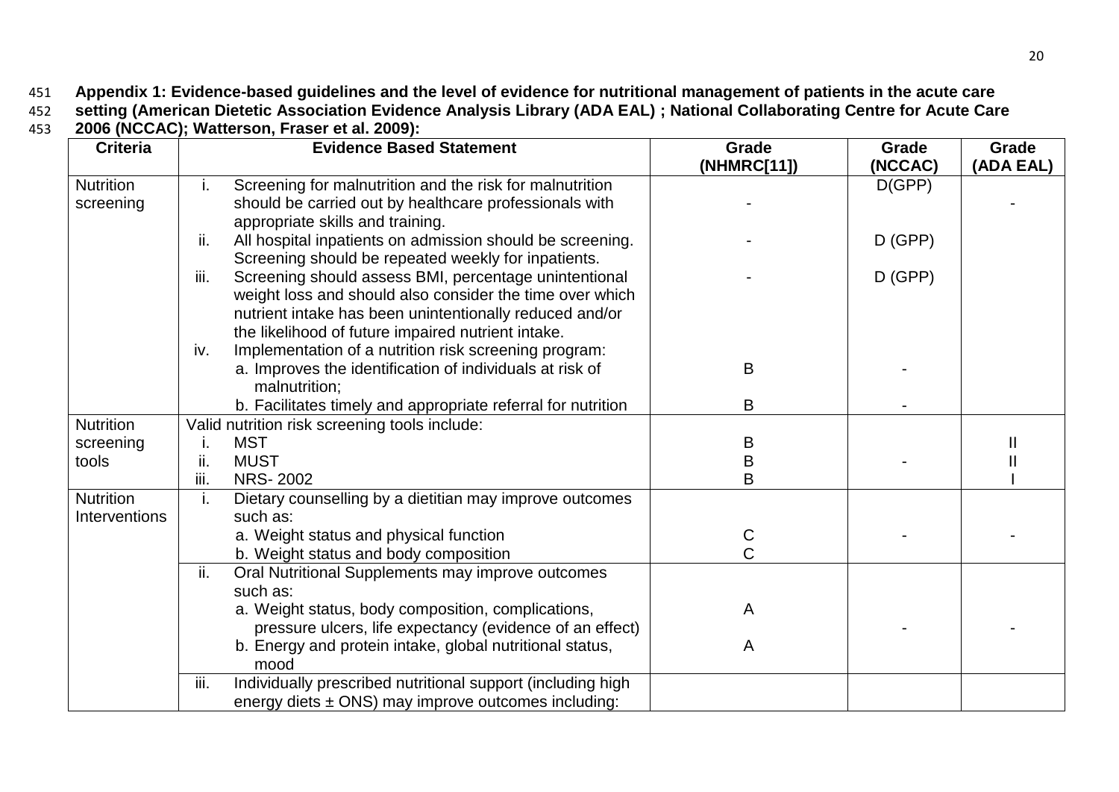451 **Appendix 1: Evidence-based guidelines and the level of evidence for nutritional management of patients in the acute care** 

452 **setting [\(American Dietetic Association Evidence Analysis Library \(ADA EAL\) ;](#page-23-15) [National Collaborating Centre for Acute Care](#page-23-16)** 

453 **[2006](#page-23-16) (NCCAC); [Watterson, Fraser et al. 2009\)](#page-24-12):** 

| <b>Criteria</b>  | <b>Evidence Based Statement</b> |                                                                                                              | Grade       | Grade     | Grade     |
|------------------|---------------------------------|--------------------------------------------------------------------------------------------------------------|-------------|-----------|-----------|
|                  |                                 |                                                                                                              | (NHMRC[11]) | (NCCAC)   | (ADA EAL) |
| <b>Nutrition</b> | i.                              | Screening for malnutrition and the risk for malnutrition                                                     |             | D(GPP)    |           |
| screening        |                                 | should be carried out by healthcare professionals with                                                       |             |           |           |
|                  |                                 | appropriate skills and training.                                                                             |             |           |           |
|                  | ii.                             | All hospital inpatients on admission should be screening.                                                    |             | $D$ (GPP) |           |
|                  | iii.                            | Screening should be repeated weekly for inpatients.<br>Screening should assess BMI, percentage unintentional |             | $D$ (GPP) |           |
|                  |                                 | weight loss and should also consider the time over which                                                     |             |           |           |
|                  |                                 | nutrient intake has been unintentionally reduced and/or                                                      |             |           |           |
|                  |                                 | the likelihood of future impaired nutrient intake.                                                           |             |           |           |
|                  | iv.                             | Implementation of a nutrition risk screening program:                                                        |             |           |           |
|                  |                                 | a. Improves the identification of individuals at risk of                                                     | B           |           |           |
|                  |                                 | malnutrition;                                                                                                |             |           |           |
|                  |                                 | b. Facilitates timely and appropriate referral for nutrition                                                 | B           |           |           |
| <b>Nutrition</b> |                                 | Valid nutrition risk screening tools include:                                                                |             |           |           |
| screening        |                                 | <b>MST</b>                                                                                                   | Β           |           |           |
| tools            | ii.                             | <b>MUST</b>                                                                                                  | B           |           |           |
|                  | iii.                            | <b>NRS-2002</b>                                                                                              | B           |           |           |
| <b>Nutrition</b> | Τ.                              | Dietary counselling by a dietitian may improve outcomes                                                      |             |           |           |
| Interventions    |                                 | such as:                                                                                                     |             |           |           |
|                  |                                 | a. Weight status and physical function                                                                       | C           |           |           |
|                  |                                 | b. Weight status and body composition                                                                        | Ć           |           |           |
|                  | ii.                             | Oral Nutritional Supplements may improve outcomes                                                            |             |           |           |
|                  |                                 | such as:                                                                                                     |             |           |           |
|                  |                                 | a. Weight status, body composition, complications,                                                           | A           |           |           |
|                  |                                 | pressure ulcers, life expectancy (evidence of an effect)                                                     |             |           |           |
|                  |                                 | b. Energy and protein intake, global nutritional status,                                                     | A           |           |           |
|                  |                                 | mood                                                                                                         |             |           |           |
|                  | iii.                            | Individually prescribed nutritional support (including high                                                  |             |           |           |
|                  |                                 | energy diets $\pm$ ONS) may improve outcomes including:                                                      |             |           |           |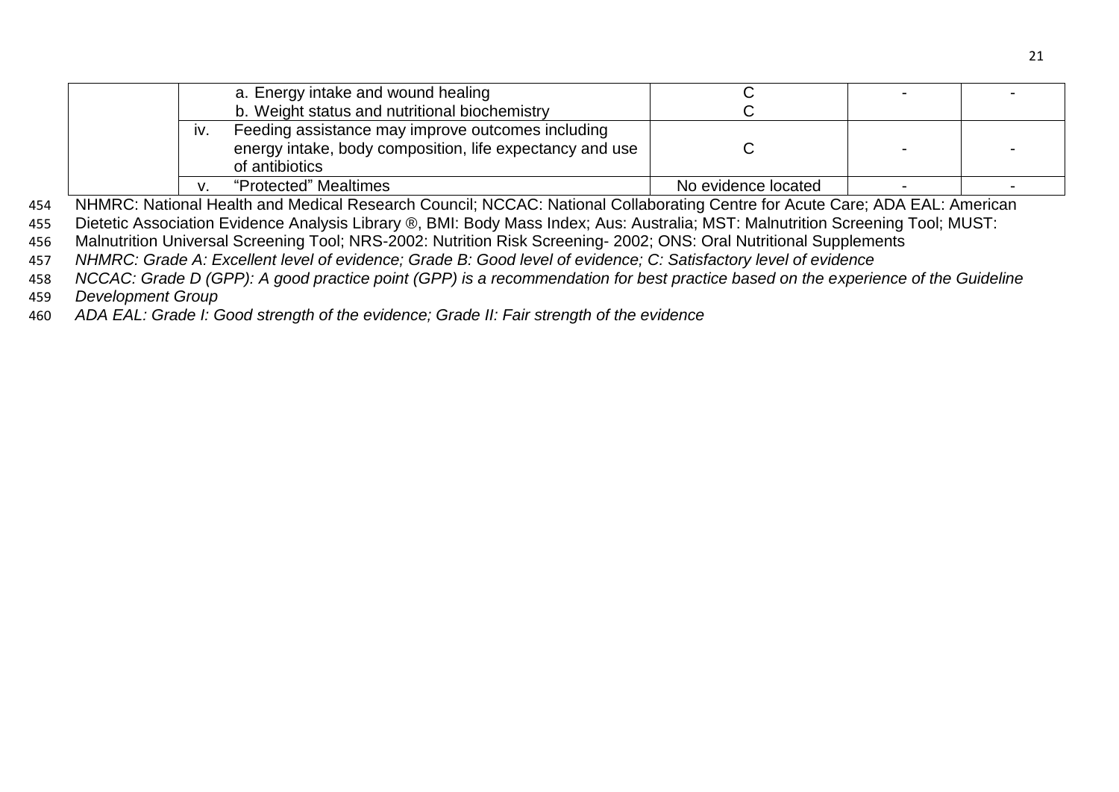|     | a. Energy intake and wound healing                                                                                              |                     |  |
|-----|---------------------------------------------------------------------------------------------------------------------------------|---------------------|--|
|     | b. Weight status and nutritional biochemistry                                                                                   |                     |  |
| IV. | Feeding assistance may improve outcomes including<br>energy intake, body composition, life expectancy and use<br>of antibiotics |                     |  |
| v   | "Protected" Mealtimes                                                                                                           | No evidence located |  |

454 NHMRC: National Health and Medical Research Council; NCCAC: National Collaborating Centre for Acute Care; ADA EAL: American

455 Dietetic Association Evidence Analysis Library ®, BMI: Body Mass Index; Aus: Australia; MST: Malnutrition Screening Tool; MUST:

456 Malnutrition Universal Screening Tool; NRS-2002: Nutrition Risk Screening- 2002; ONS: Oral Nutritional Supplements

457 *NHMRC: Grade A: Excellent level of evidence; Grade B: Good level of evidence; C: Satisfactory level of evidence*

458 *NCCAC: Grade D (GPP): A good practice point (GPP) is a recommendation for best practice based on the experience of the Guideline* 

459 *Development Group*

460 *ADA EAL: Grade I: Good strength of the evidence; Grade II: Fair strength of the evidence*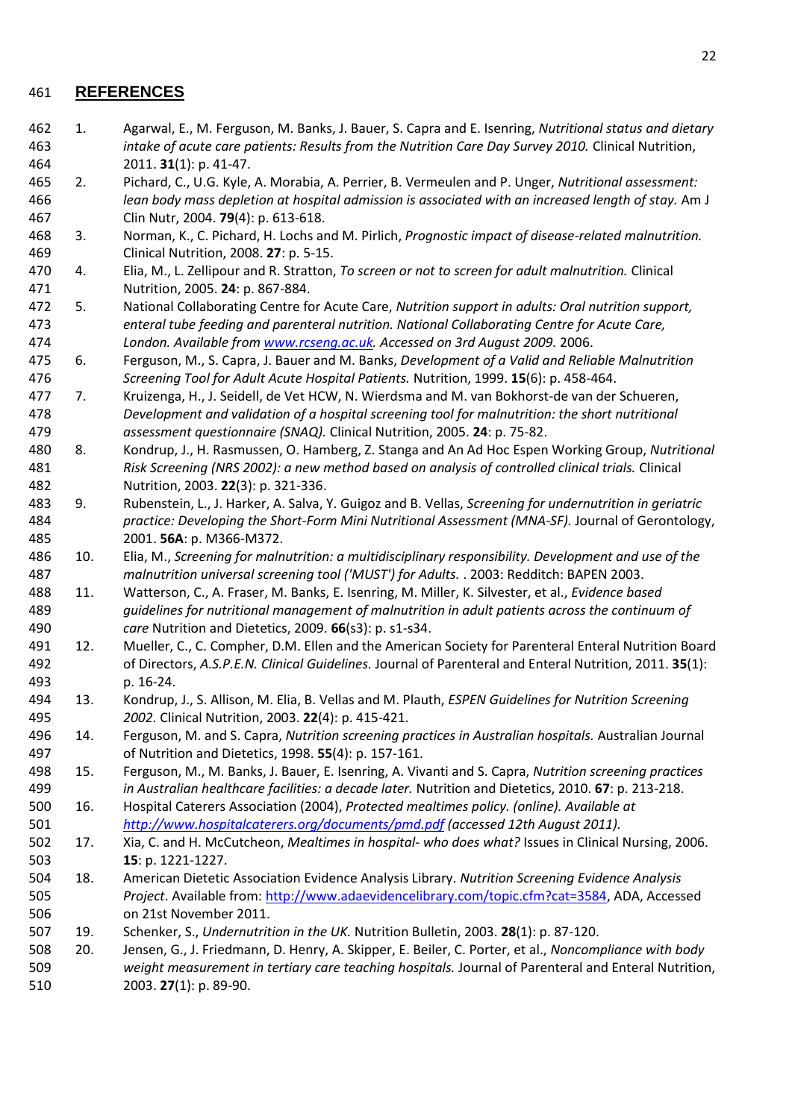#### <span id="page-23-15"></span>**REFERENCES**

- <span id="page-23-0"></span> 1. Agarwal, E., M. Ferguson, M. Banks, J. Bauer, S. Capra and E. Isenring, *Nutritional status and dietary intake of acute care patients: Results from the Nutrition Care Day Survey 2010.* Clinical Nutrition, 2011. **31**(1): p. 41-47.
- <span id="page-23-1"></span> 2. Pichard, C., U.G. Kyle, A. Morabia, A. Perrier, B. Vermeulen and P. Unger, *Nutritional assessment: lean body mass depletion at hospital admission is associated with an increased length of stay.* Am J Clin Nutr, 2004. **79**(4): p. 613-618.
- <span id="page-23-2"></span> 3. Norman, K., C. Pichard, H. Lochs and M. Pirlich, *Prognostic impact of disease-related malnutrition.* Clinical Nutrition, 2008. **27**: p. 5-15.
- <span id="page-23-3"></span> 4. Elia, M., L. Zellipour and R. Stratton, *To screen or not to screen for adult malnutrition.* Clinical Nutrition, 2005. **24**: p. 867-884.
- <span id="page-23-4"></span> 5. National Collaborating Centre for Acute Care, *Nutrition support in adults: Oral nutrition support, enteral tube feeding and parenteral nutrition. National Collaborating Centre for Acute Care, London. Available from [www.rcseng.ac.uk.](http://www.rcseng.ac.uk/) Accessed on 3rd August 2009.* 2006.
- <span id="page-23-5"></span> 6. Ferguson, M., S. Capra, J. Bauer and M. Banks, *Development of a Valid and Reliable Malnutrition Screening Tool for Adult Acute Hospital Patients.* Nutrition, 1999. **15**(6): p. 458-464.
- 7. Kruizenga, H., J. Seidell, de Vet HCW, N. Wierdsma and M. van Bokhorst-de van der Schueren, *Development and validation of a hospital screening tool for malnutrition: the short nutritional assessment questionnaire (SNAQ).* Clinical Nutrition, 2005. **24**: p. 75-82.
- <span id="page-23-14"></span> 8. Kondrup, J., H. Rasmussen, O. Hamberg, Z. Stanga and An Ad Hoc Espen Working Group, *Nutritional Risk Screening (NRS 2002): a new method based on analysis of controlled clinical trials.* Clinical Nutrition, 2003. **22**(3): p. 321-336.
- 9. Rubenstein, L., J. Harker, A. Salva, Y. Guigoz and B. Vellas, *Screening for undernutrition in geriatric practice: Developing the Short-Form Mini Nutritional Assessment (MNA-SF).* Journal of Gerontology, 2001. **56A**: p. M366-M372.
- 10. Elia, M., *Screening for malnutrition: a multidisciplinary responsibility. Development and use of the malnutrition universal screening tool ('MUST') for Adults.* . 2003: Redditch: BAPEN 2003.
- <span id="page-23-6"></span> 11. Watterson, C., A. Fraser, M. Banks, E. Isenring, M. Miller, K. Silvester, et al., *Evidence based guidelines for nutritional management of malnutrition in adult patients across the continuum of care* Nutrition and Dietetics, 2009. **66**(s3): p. s1-s34.
- <span id="page-23-16"></span> 12. Mueller, C., C. Compher, D.M. Ellen and the American Society for Parenteral Enteral Nutrition Board of Directors, *A.S.P.E.N. Clinical Guidelines.* Journal of Parenteral and Enteral Nutrition, 2011. **35**(1): p. 16-24.
- 13. Kondrup, J., S. Allison, M. Elia, B. Vellas and M. Plauth, *ESPEN Guidelines for Nutrition Screening 2002.* Clinical Nutrition, 2003. **22**(4): p. 415-421.
- <span id="page-23-7"></span> 14. Ferguson, M. and S. Capra, *Nutrition screening practices in Australian hospitals.* Australian Journal of Nutrition and Dietetics, 1998. **55**(4): p. 157-161.
- <span id="page-23-8"></span> 15. Ferguson, M., M. Banks, J. Bauer, E. Isenring, A. Vivanti and S. Capra, *Nutrition screening practices in Australian healthcare facilities: a decade later.* Nutrition and Dietetics, 2010. **67**: p. 213-218.
- <span id="page-23-9"></span> 16. Hospital Caterers Association (2004), *Protected mealtimes policy. (online). Available at <http://www.hospitalcaterers.org/documents/pmd.pdf> (accessed 12th August 2011).*
- <span id="page-23-10"></span> 17. Xia, C. and H. McCutcheon, *Mealtimes in hospital- who does what?* Issues in Clinical Nursing, 2006. **15**: p. 1221-1227.
- <span id="page-23-11"></span> 18. American Dietetic Association Evidence Analysis Library. *Nutrition Screening Evidence Analysis Project*. Available from[: http://www.adaevidencelibrary.com/topic.cfm?cat=3584,](http://www.adaevidencelibrary.com/topic.cfm?cat=3584) ADA, Accessed on 21st November 2011.
- <span id="page-23-12"></span>19. Schenker, S., *Undernutrition in the UK.* Nutrition Bulletin, 2003. **28**(1): p. 87-120.
- <span id="page-23-13"></span> 20. Jensen, G., J. Friedmann, D. Henry, A. Skipper, E. Beiler, C. Porter, et al., *Noncompliance with body weight measurement in tertiary care teaching hospitals.* Journal of Parenteral and Enteral Nutrition, 2003. **27**(1): p. 89-90.